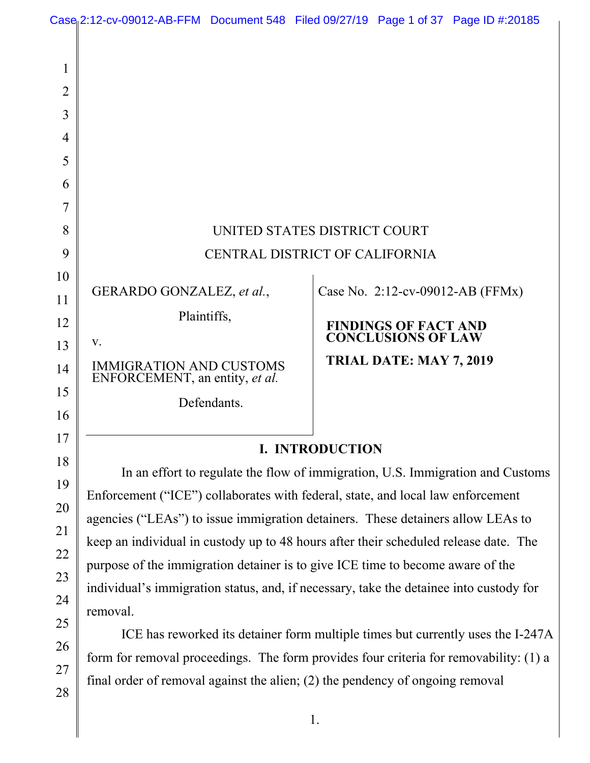|                                                           | Case <sub>l</sub> 2:12-cv-09012-AB-FFM Document 548 Filed 09/27/19 Page 1 of 37 Page ID #:20185                                                                                                                                                      |             |  |                             |                                  |  |  |
|-----------------------------------------------------------|------------------------------------------------------------------------------------------------------------------------------------------------------------------------------------------------------------------------------------------------------|-------------|--|-----------------------------|----------------------------------|--|--|
| 1<br>$\overline{2}$<br>3<br>$\overline{4}$<br>5<br>6<br>7 |                                                                                                                                                                                                                                                      |             |  |                             |                                  |  |  |
| 8                                                         | UNITED STATES DISTRICT COURT                                                                                                                                                                                                                         |             |  |                             |                                  |  |  |
| 9                                                         | CENTRAL DISTRICT OF CALIFORNIA                                                                                                                                                                                                                       |             |  |                             |                                  |  |  |
| 10                                                        | GERARDO GONZALEZ, et al.,                                                                                                                                                                                                                            |             |  |                             | Case No. 2:12-cv-09012-AB (FFMx) |  |  |
| 11<br>12                                                  | Plaintiffs,                                                                                                                                                                                                                                          |             |  | <b>FINDINGS OF FACT AND</b> |                                  |  |  |
| 13                                                        | V.                                                                                                                                                                                                                                                   |             |  | <b>CONCLUSIONS OF LAW</b>   |                                  |  |  |
| 14                                                        | <b>IMMIGRATION AND CUSTOMS</b><br>ENFORCEMENT, an entity, et al.                                                                                                                                                                                     |             |  | TRIAL DATE: MAY 7, 2019     |                                  |  |  |
| 15<br>16                                                  |                                                                                                                                                                                                                                                      | Defendants. |  |                             |                                  |  |  |
| 17                                                        | I. INTRODUCTION                                                                                                                                                                                                                                      |             |  |                             |                                  |  |  |
| 18                                                        | In an effort to regulate the flow of immigration, U.S. Immigration and Customs<br>Enforcement ("ICE") collaborates with federal, state, and local law enforcement<br>agencies ("LEAs") to issue immigration detainers. These detainers allow LEAs to |             |  |                             |                                  |  |  |
| 19                                                        |                                                                                                                                                                                                                                                      |             |  |                             |                                  |  |  |
| 20                                                        |                                                                                                                                                                                                                                                      |             |  |                             |                                  |  |  |
| 21                                                        | keep an individual in custody up to 48 hours after their scheduled release date. The                                                                                                                                                                 |             |  |                             |                                  |  |  |
| 22                                                        | purpose of the immigration detainer is to give ICE time to become aware of the                                                                                                                                                                       |             |  |                             |                                  |  |  |
| 23                                                        | individual's immigration status, and, if necessary, take the detainee into custody for                                                                                                                                                               |             |  |                             |                                  |  |  |
| 24<br>25                                                  | removal.<br>ICE has reworked its detainer form multiple times but currently uses the I-247A                                                                                                                                                          |             |  |                             |                                  |  |  |
| 26                                                        |                                                                                                                                                                                                                                                      |             |  |                             |                                  |  |  |
|                                                           | form for removal proceedings. The form provides four criteria for removability: (1) a                                                                                                                                                                |             |  |                             |                                  |  |  |

27 28

final order of removal against the alien; (2) the pendency of ongoing removal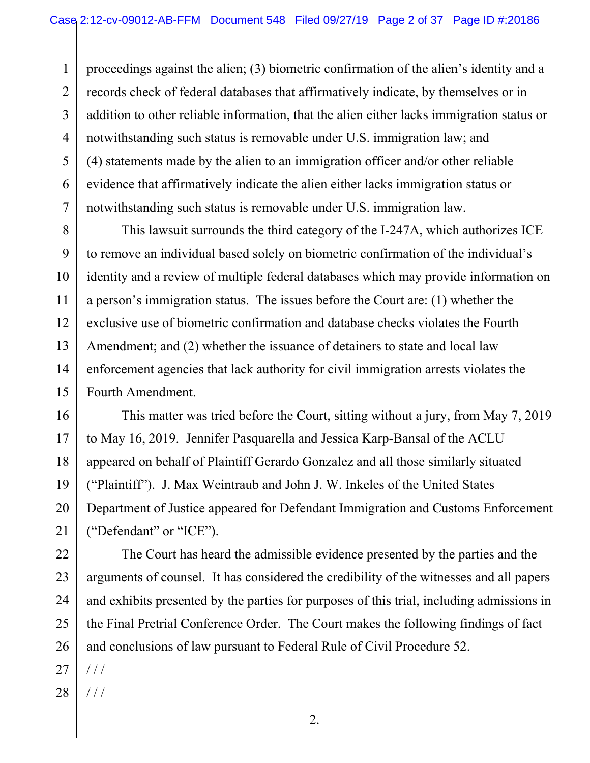proceedings against the alien; (3) biometric confirmation of the alien's identity and a records check of federal databases that affirmatively indicate, by themselves or in addition to other reliable information, that the alien either lacks immigration status or notwithstanding such status is removable under U.S. immigration law; and (4) statements made by the alien to an immigration officer and/or other reliable evidence that affirmatively indicate the alien either lacks immigration status or notwithstanding such status is removable under U.S. immigration law.

This lawsuit surrounds the third category of the I-247A, which authorizes ICE to remove an individual based solely on biometric confirmation of the individual's identity and a review of multiple federal databases which may provide information on a person's immigration status. The issues before the Court are: (1) whether the exclusive use of biometric confirmation and database checks violates the Fourth Amendment; and (2) whether the issuance of detainers to state and local law enforcement agencies that lack authority for civil immigration arrests violates the Fourth Amendment.

 This matter was tried before the Court, sitting without a jury, from May 7, 2019 to May 16, 2019. Jennifer Pasquarella and Jessica Karp-Bansal of the ACLU appeared on behalf of Plaintiff Gerardo Gonzalez and all those similarly situated ("Plaintiff"). J. Max Weintraub and John J. W. Inkeles of the United States Department of Justice appeared for Defendant Immigration and Customs Enforcement ("Defendant" or "ICE").

 The Court has heard the admissible evidence presented by the parties and the arguments of counsel. It has considered the credibility of the witnesses and all papers and exhibits presented by the parties for purposes of this trial, including admissions in the Final Pretrial Conference Order. The Court makes the following findings of fact and conclusions of law pursuant to Federal Rule of Civil Procedure 52.

27 / / /

1

2

3

4

5

6

7

8

9

10

11

12

13

14

15

16

17

18

19

20

21

22

23

24

25

26

28 / / /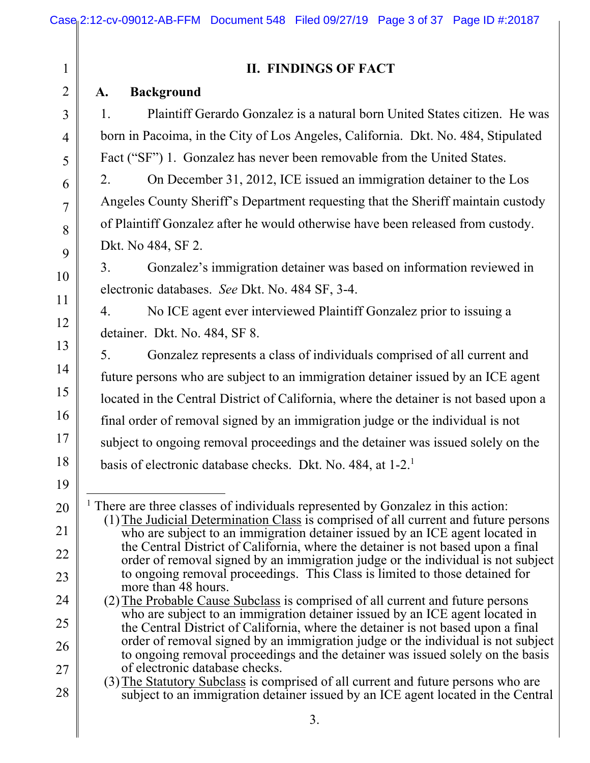|  | II. FINDINGS OF FACT |  |
|--|----------------------|--|
|--|----------------------|--|

### **A. Background**

1

2

3

4

5

6

7

8

9

10

11

12

13

14

15

16

17

18

1. Plaintiff Gerardo Gonzalez is a natural born United States citizen. He was born in Pacoima, in the City of Los Angeles, California. Dkt. No. 484, Stipulated Fact ("SF") 1. Gonzalez has never been removable from the United States.

2. On December 31, 2012, ICE issued an immigration detainer to the Los Angeles County Sheriff's Department requesting that the Sheriff maintain custody of Plaintiff Gonzalez after he would otherwise have been released from custody. Dkt. No 484, SF 2.

3. Gonzalez's immigration detainer was based on information reviewed in electronic databases. *See* Dkt. No. 484 SF, 3-4.

4. No ICE agent ever interviewed Plaintiff Gonzalez prior to issuing a detainer. Dkt. No. 484, SF 8.

5. Gonzalez represents a class of individuals comprised of all current and future persons who are subject to an immigration detainer issued by an ICE agent located in the Central District of California, where the detainer is not based upon a final order of removal signed by an immigration judge or the individual is not subject to ongoing removal proceedings and the detainer was issued solely on the basis of electronic database checks. Dkt. No. 484, at 1-2.<sup>1</sup>

- 19
- 20

21

22

23

24

25

26

27

28

 $\overline{a}$ <sup>1</sup> There are three classes of individuals represented by Gonzalez in this action: (1)The Judicial Determination Class is comprised of all current and future persons who are subject to an immigration detainer issued by an ICE agent located in the Central District of California, where the detainer is not based upon a final order of removal signed by an immigration judge or the individual is not subject to ongoing removal proceedings. This Class is limited to those detained for more than 48 hours.

- (2)The Probable Cause Subclass is comprised of all current and future persons who are subject to an immigration detainer issued by an ICE agent located in the Central District of California, where the detainer is not based upon a final order of removal signed by an immigration judge or the individual is not subject to ongoing removal proceedings and the detainer was issued solely on the basis of electronic database checks.
- (3)The Statutory Subclass is comprised of all current and future persons who are subject to an immigration detainer issued by an ICE agent located in the Central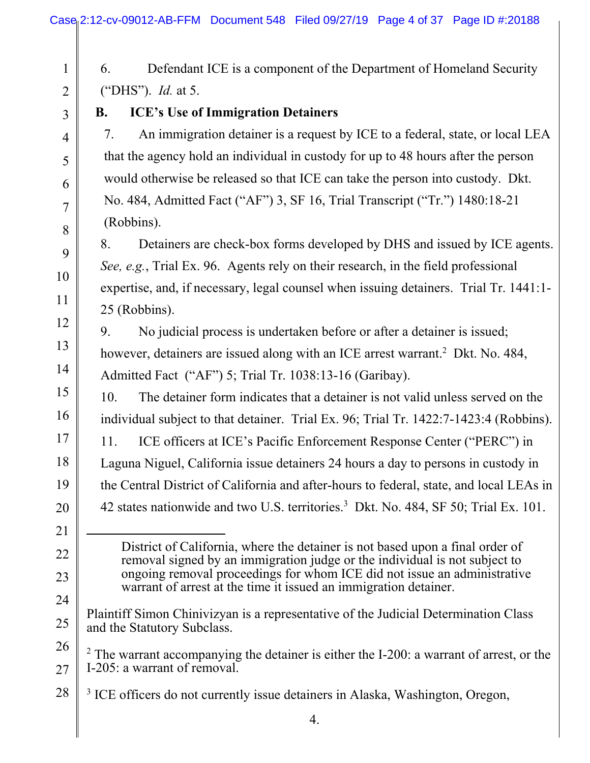| $\mathbf{1}$   | Defendant ICE is a component of the Department of Homeland Security<br>6.                                                                                   |  |  |  |  |
|----------------|-------------------------------------------------------------------------------------------------------------------------------------------------------------|--|--|--|--|
| $\overline{2}$ | ("DHS"). <i>Id.</i> at 5.                                                                                                                                   |  |  |  |  |
| $\overline{3}$ | <b>ICE's Use of Immigration Detainers</b><br><b>B.</b>                                                                                                      |  |  |  |  |
| $\overline{4}$ | An immigration detainer is a request by ICE to a federal, state, or local LEA<br>7.                                                                         |  |  |  |  |
| 5              | that the agency hold an individual in custody for up to 48 hours after the person                                                                           |  |  |  |  |
| 6              | would otherwise be released so that ICE can take the person into custody. Dkt.                                                                              |  |  |  |  |
| $\overline{7}$ | No. 484, Admitted Fact ("AF") 3, SF 16, Trial Transcript ("Tr.") 1480:18-21                                                                                 |  |  |  |  |
| 8              | (Robbins).                                                                                                                                                  |  |  |  |  |
| 9              | 8.<br>Detainers are check-box forms developed by DHS and issued by ICE agents.                                                                              |  |  |  |  |
| 10             | See, e.g., Trial Ex. 96. Agents rely on their research, in the field professional                                                                           |  |  |  |  |
| 11             | expertise, and, if necessary, legal counsel when issuing detainers. Trial Tr. 1441:1-                                                                       |  |  |  |  |
| 12             | 25 (Robbins).                                                                                                                                               |  |  |  |  |
| 13             | No judicial process is undertaken before or after a detainer is issued;<br>9.                                                                               |  |  |  |  |
| 14             | however, detainers are issued along with an ICE arrest warrant. <sup>2</sup> Dkt. No. 484,                                                                  |  |  |  |  |
|                | Admitted Fact ("AF") 5; Trial Tr. 1038:13-16 (Garibay).                                                                                                     |  |  |  |  |
| 15             | The detainer form indicates that a detainer is not valid unless served on the<br>10.                                                                        |  |  |  |  |
| 16             | individual subject to that detainer. Trial Ex. 96; Trial Tr. 1422:7-1423:4 (Robbins).                                                                       |  |  |  |  |
| 17             | ICE officers at ICE's Pacific Enforcement Response Center ("PERC") in<br>11.                                                                                |  |  |  |  |
| 18             | Laguna Niguel, California issue detainers 24 hours a day to persons in custody in                                                                           |  |  |  |  |
| 19             | the Central District of California and after-hours to federal, state, and local LEAs in                                                                     |  |  |  |  |
| 20             | 42 states nationwide and two U.S. territories. <sup>3</sup> Dkt. No. 484, SF 50; Trial Ex. 101.                                                             |  |  |  |  |
| 21             |                                                                                                                                                             |  |  |  |  |
| 22             | District of California, where the detainer is not based upon a final order of<br>removal signed by an immigration judge or the individual is not subject to |  |  |  |  |
| 23             | ongoing removal proceedings for whom ICE did not issue an administrative<br>warrant of arrest at the time it issued an immigration detainer.                |  |  |  |  |
| 24             |                                                                                                                                                             |  |  |  |  |
| 25             | Plaintiff Simon Chinivizyan is a representative of the Judicial Determination Class<br>and the Statutory Subclass.                                          |  |  |  |  |
| 26             | $2$ The warrant accompanying the detainer is either the I-200: a warrant of arrest, or the                                                                  |  |  |  |  |
| 27             | I-205: a warrant of removal.                                                                                                                                |  |  |  |  |
| 28             | <sup>3</sup> ICE officers do not currently issue detainers in Alaska, Washington, Oregon,                                                                   |  |  |  |  |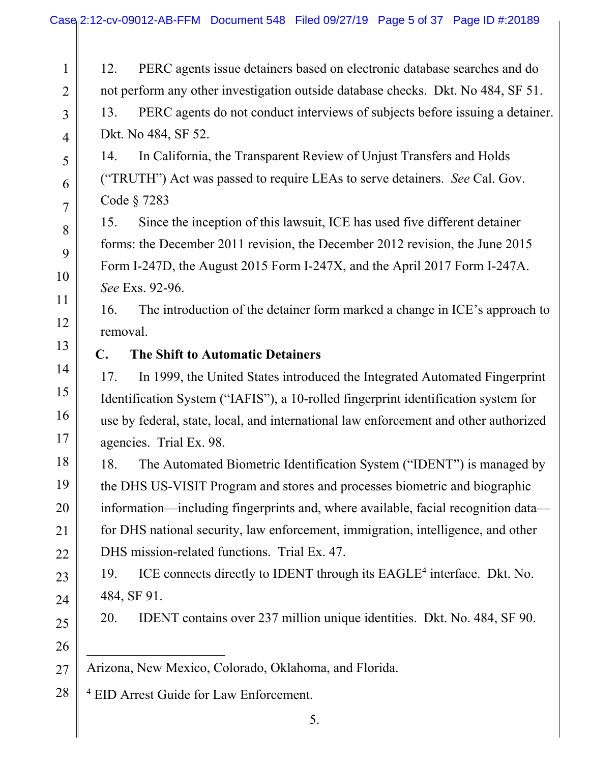1 2 3 4 5 6 7 8 9 10 11 12 13 14 15 16 17 18 19 20 21 22 23 24 25 26 12. PERC agents issue detainers based on electronic database searches and do not perform any other investigation outside database checks. Dkt. No 484, SF 51. 13. PERC agents do not conduct interviews of subjects before issuing a detainer. Dkt. No 484, SF 52. 14. In California, the Transparent Review of Unjust Transfers and Holds ("TRUTH") Act was passed to require LEAs to serve detainers. *See* Cal. Gov. Code § 7283 15. Since the inception of this lawsuit, ICE has used five different detainer forms: the December 2011 revision, the December 2012 revision, the June 2015 Form I-247D, the August 2015 Form I-247X, and the April 2017 Form I-247A. *See* Exs. 92-96. 16. The introduction of the detainer form marked a change in ICE's approach to removal. **C. The Shift to Automatic Detainers** 17. In 1999, the United States introduced the Integrated Automated Fingerprint Identification System ("IAFIS"), a 10-rolled fingerprint identification system for use by federal, state, local, and international law enforcement and other authorized agencies. Trial Ex. 98. 18. The Automated Biometric Identification System ("IDENT") is managed by the DHS US-VISIT Program and stores and processes biometric and biographic information—including fingerprints and, where available, facial recognition data for DHS national security, law enforcement, immigration, intelligence, and other DHS mission-related functions. Trial Ex. 47. 19. ICE connects directly to IDENT through its EAGLE<sup>4</sup> interface. Dkt. No. 484, SF 91. 20. IDENT contains over 237 million unique identities. Dkt. No. 484, SF 90.  $\overline{a}$ 

27 Arizona, New Mexico, Colorado, Oklahoma, and Florida.

28 4 EID Arrest Guide for Law Enforcement.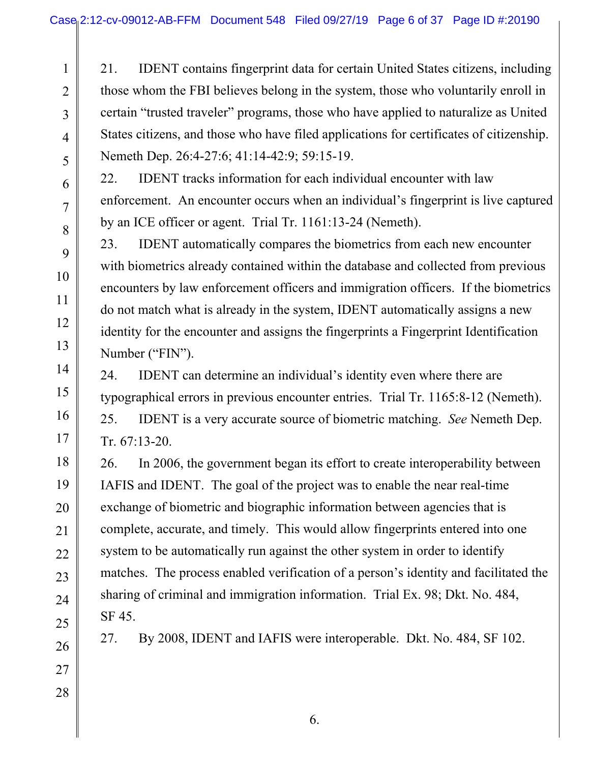21. IDENT contains fingerprint data for certain United States citizens, including those whom the FBI believes belong in the system, those who voluntarily enroll in certain "trusted traveler" programs, those who have applied to naturalize as United States citizens, and those who have filed applications for certificates of citizenship. Nemeth Dep. 26:4-27:6; 41:14-42:9; 59:15-19.

22. IDENT tracks information for each individual encounter with law enforcement. An encounter occurs when an individual's fingerprint is live captured by an ICE officer or agent. Trial Tr. 1161:13-24 (Nemeth).

23. IDENT automatically compares the biometrics from each new encounter with biometrics already contained within the database and collected from previous encounters by law enforcement officers and immigration officers. If the biometrics do not match what is already in the system, IDENT automatically assigns a new identity for the encounter and assigns the fingerprints a Fingerprint Identification Number ("FIN").

24. IDENT can determine an individual's identity even where there are typographical errors in previous encounter entries. Trial Tr. 1165:8-12 (Nemeth). 25. IDENT is a very accurate source of biometric matching. *See* Nemeth Dep.

Tr. 67:13-20.

26. In 2006, the government began its effort to create interoperability between IAFIS and IDENT. The goal of the project was to enable the near real-time exchange of biometric and biographic information between agencies that is complete, accurate, and timely. This would allow fingerprints entered into one system to be automatically run against the other system in order to identify matches. The process enabled verification of a person's identity and facilitated the sharing of criminal and immigration information. Trial Ex. 98; Dkt. No. 484, SF 45.

27. By 2008, IDENT and IAFIS were interoperable. Dkt. No. 484, SF 102.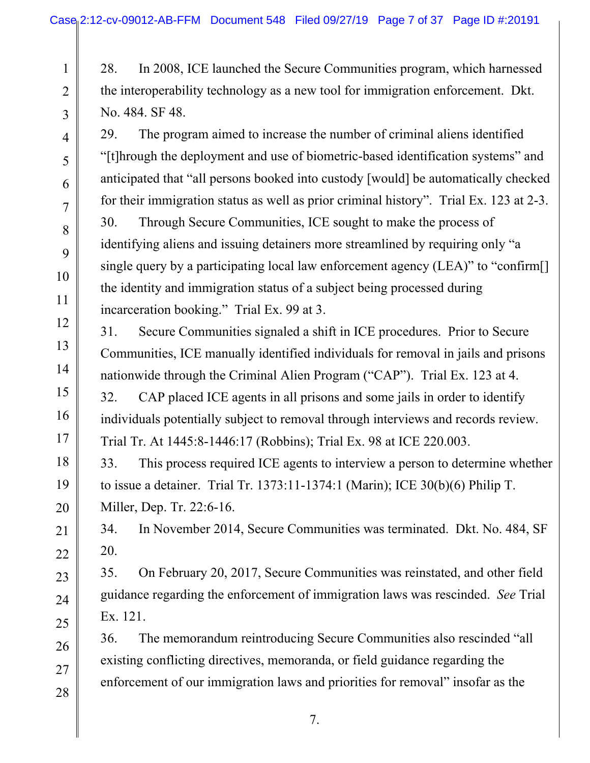28. In 2008, ICE launched the Secure Communities program, which harnessed the interoperability technology as a new tool for immigration enforcement. Dkt. No. 484. SF 48.

29. The program aimed to increase the number of criminal aliens identified "[t]hrough the deployment and use of biometric-based identification systems" and anticipated that "all persons booked into custody [would] be automatically checked for their immigration status as well as prior criminal history". Trial Ex. 123 at 2-3. 30. Through Secure Communities, ICE sought to make the process of identifying aliens and issuing detainers more streamlined by requiring only "a single query by a participating local law enforcement agency (LEA)" to "confirm<sup>[]</sup> the identity and immigration status of a subject being processed during incarceration booking." Trial Ex. 99 at 3.

31. Secure Communities signaled a shift in ICE procedures. Prior to Secure Communities, ICE manually identified individuals for removal in jails and prisons nationwide through the Criminal Alien Program ("CAP"). Trial Ex. 123 at 4.

32. CAP placed ICE agents in all prisons and some jails in order to identify individuals potentially subject to removal through interviews and records review. Trial Tr. At 1445:8-1446:17 (Robbins); Trial Ex. 98 at ICE 220.003.

33. This process required ICE agents to interview a person to determine whether to issue a detainer. Trial Tr. 1373:11-1374:1 (Marin); ICE 30(b)(6) Philip T. Miller, Dep. Tr. 22:6-16.

34. In November 2014, Secure Communities was terminated. Dkt. No. 484, SF 20.

35. On February 20, 2017, Secure Communities was reinstated, and other field guidance regarding the enforcement of immigration laws was rescinded. *See* Trial Ex. 121.

36. The memorandum reintroducing Secure Communities also rescinded "all existing conflicting directives, memoranda, or field guidance regarding the enforcement of our immigration laws and priorities for removal" insofar as the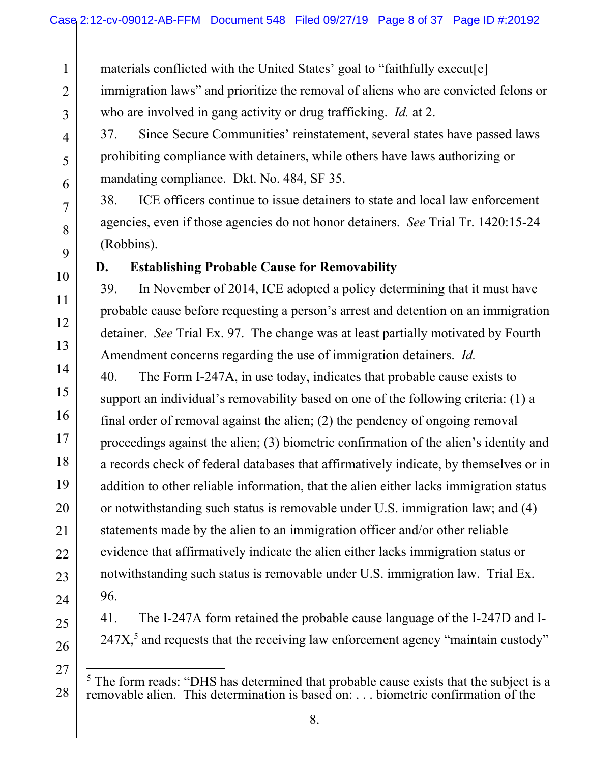materials conflicted with the United States' goal to "faithfully execut[e] immigration laws" and prioritize the removal of aliens who are convicted felons or who are involved in gang activity or drug trafficking. *Id.* at 2.

37. Since Secure Communities' reinstatement, several states have passed laws prohibiting compliance with detainers, while others have laws authorizing or mandating compliance. Dkt. No. 484, SF 35.

38. ICE officers continue to issue detainers to state and local law enforcement agencies, even if those agencies do not honor detainers. *See* Trial Tr. 1420:15-24 (Robbins).

### **D. Establishing Probable Cause for Removability**

39. In November of 2014, ICE adopted a policy determining that it must have probable cause before requesting a person's arrest and detention on an immigration detainer. *See* Trial Ex. 97. The change was at least partially motivated by Fourth Amendment concerns regarding the use of immigration detainers. *Id.*

40. The Form I-247A, in use today, indicates that probable cause exists to support an individual's removability based on one of the following criteria: (1) a final order of removal against the alien; (2) the pendency of ongoing removal proceedings against the alien; (3) biometric confirmation of the alien's identity and a records check of federal databases that affirmatively indicate, by themselves or in addition to other reliable information, that the alien either lacks immigration status or notwithstanding such status is removable under U.S. immigration law; and (4) statements made by the alien to an immigration officer and/or other reliable evidence that affirmatively indicate the alien either lacks immigration status or notwithstanding such status is removable under U.S. immigration law. Trial Ex. 96.

41. The I-247A form retained the probable cause language of the I-247D and I- $247X<sub>1</sub><sup>5</sup>$  and requests that the receiving law enforcement agency "maintain custody"

<sup>-</sup><sup>5</sup> The form reads: "DHS has determined that probable cause exists that the subject is a removable alien. This determination is based on: . . . biometric confirmation of the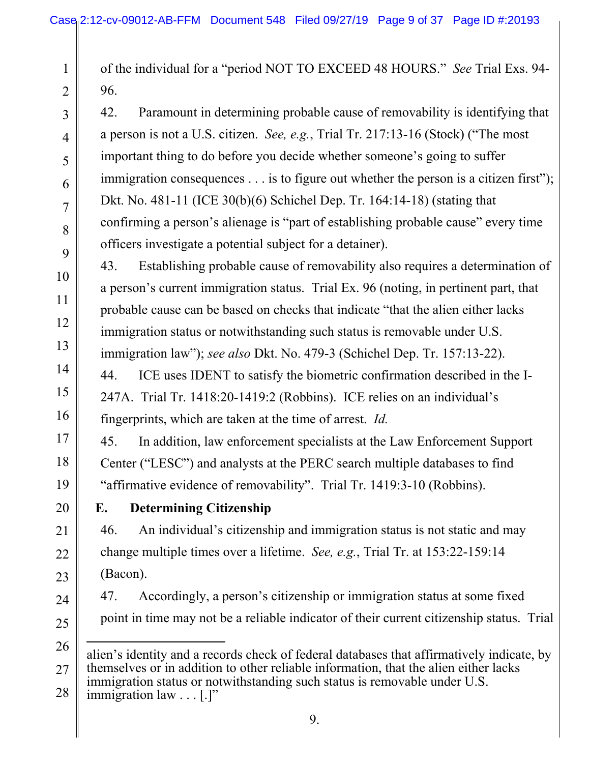of the individual for a "period NOT TO EXCEED 48 HOURS." *See* Trial Exs. 94- 96.

42. Paramount in determining probable cause of removability is identifying that a person is not a U.S. citizen. *See, e.g.*, Trial Tr. 217:13-16 (Stock) ("The most important thing to do before you decide whether someone's going to suffer immigration consequences . . . is to figure out whether the person is a citizen first"); Dkt. No. 481-11 (ICE 30(b)(6) Schichel Dep. Tr. 164:14-18) (stating that confirming a person's alienage is "part of establishing probable cause" every time officers investigate a potential subject for a detainer).

43. Establishing probable cause of removability also requires a determination of a person's current immigration status. Trial Ex. 96 (noting, in pertinent part, that probable cause can be based on checks that indicate "that the alien either lacks immigration status or notwithstanding such status is removable under U.S. immigration law"); *see also* Dkt. No. 479-3 (Schichel Dep. Tr. 157:13-22).

44. ICE uses IDENT to satisfy the biometric confirmation described in the I-247A. Trial Tr. 1418:20-1419:2 (Robbins). ICE relies on an individual's fingerprints, which are taken at the time of arrest. *Id.*

45. In addition, law enforcement specialists at the Law Enforcement Support Center ("LESC") and analysts at the PERC search multiple databases to find "affirmative evidence of removability". Trial Tr. 1419:3-10 (Robbins).

1

2

3

4

5

6

7

8

9

10

11

12

13

14

15

16

17

18

19

20

21

22

23

24

25

## **E. Determining Citizenship**

46. An individual's citizenship and immigration status is not static and may change multiple times over a lifetime. *See, e.g.*, Trial Tr. at 153:22-159:14 (Bacon).

47. Accordingly, a person's citizenship or immigration status at some fixed point in time may not be a reliable indicator of their current citizenship status. Trial

28 immigration law . . . [.]"

<sup>26</sup>  27  $\overline{a}$ alien's identity and a records check of federal databases that affirmatively indicate, by themselves or in addition to other reliable information, that the alien either lacks immigration status or notwithstanding such status is removable under U.S.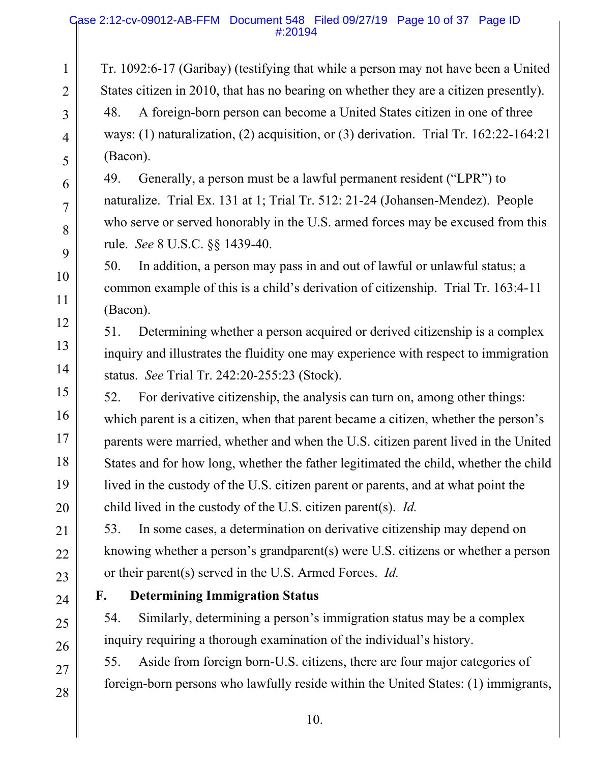#### Case 2:12-cv-09012-AB-FFM Document 548 Filed 09/27/19 Page 10 of 37 Page ID #:20194

Tr. 1092:6-17 (Garibay) (testifying that while a person may not have been a United States citizen in 2010, that has no bearing on whether they are a citizen presently). 48. A foreign-born person can become a United States citizen in one of three ways: (1) naturalization, (2) acquisition, or (3) derivation. Trial Tr. 162:22-164:21 (Bacon).

49. Generally, a person must be a lawful permanent resident ("LPR") to naturalize. Trial Ex. 131 at 1; Trial Tr. 512: 21-24 (Johansen-Mendez). People who serve or served honorably in the U.S. armed forces may be excused from this rule. *See* 8 U.S.C. §§ 1439-40.

50. In addition, a person may pass in and out of lawful or unlawful status; a common example of this is a child's derivation of citizenship. Trial Tr. 163:4-11 (Bacon).

51. Determining whether a person acquired or derived citizenship is a complex inquiry and illustrates the fluidity one may experience with respect to immigration status. *See* Trial Tr. 242:20-255:23 (Stock).

52. For derivative citizenship, the analysis can turn on, among other things: which parent is a citizen, when that parent became a citizen, whether the person's parents were married, whether and when the U.S. citizen parent lived in the United States and for how long, whether the father legitimated the child, whether the child lived in the custody of the U.S. citizen parent or parents, and at what point the child lived in the custody of the U.S. citizen parent(s). *Id.* 

53. In some cases, a determination on derivative citizenship may depend on knowing whether a person's grandparent(s) were U.S. citizens or whether a person or their parent(s) served in the U.S. Armed Forces. *Id.*

1

2

3

4

5

6

7

8

9

10

11

12

13

14

15

16

17

18

19

20

21

22

23

24

25

26

27

28

## **F. Determining Immigration Status**

54. Similarly, determining a person's immigration status may be a complex inquiry requiring a thorough examination of the individual's history.

55. Aside from foreign born-U.S. citizens, there are four major categories of foreign-born persons who lawfully reside within the United States: (1) immigrants,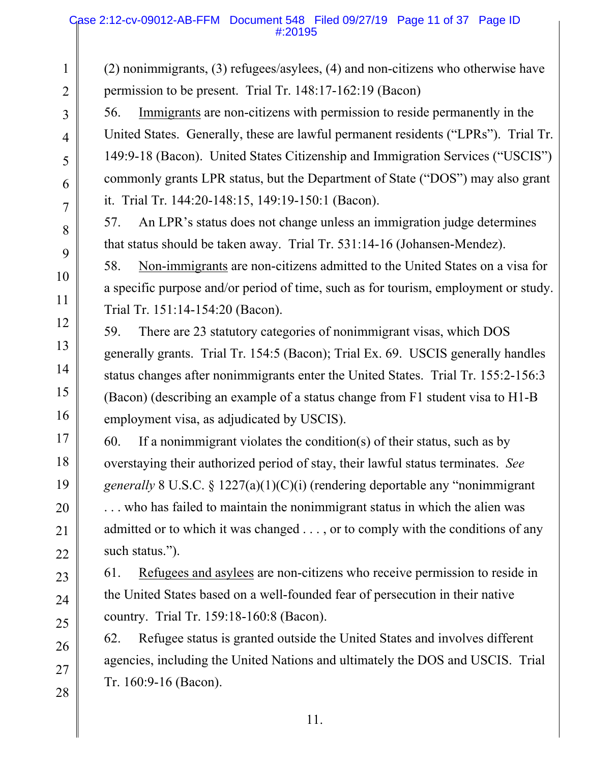#### Case 2:12-cv-09012-AB-FFM Document 548 Filed 09/27/19 Page 11 of 37 Page ID #:20195

(2) nonimmigrants, (3) refugees/asylees, (4) and non-citizens who otherwise have permission to be present. Trial Tr. 148:17-162:19 (Bacon)

56. Immigrants are non-citizens with permission to reside permanently in the United States. Generally, these are lawful permanent residents ("LPRs"). Trial Tr. 149:9-18 (Bacon). United States Citizenship and Immigration Services ("USCIS") commonly grants LPR status, but the Department of State ("DOS") may also grant it. Trial Tr. 144:20-148:15, 149:19-150:1 (Bacon).

57. An LPR's status does not change unless an immigration judge determines that status should be taken away. Trial Tr. 531:14-16 (Johansen-Mendez).

58. Non-immigrants are non-citizens admitted to the United States on a visa for a specific purpose and/or period of time, such as for tourism, employment or study. Trial Tr. 151:14-154:20 (Bacon).

59. There are 23 statutory categories of nonimmigrant visas, which DOS generally grants. Trial Tr. 154:5 (Bacon); Trial Ex. 69. USCIS generally handles status changes after nonimmigrants enter the United States. Trial Tr. 155:2-156:3 (Bacon) (describing an example of a status change from F1 student visa to H1-B employment visa, as adjudicated by USCIS).

60. If a nonimmigrant violates the condition(s) of their status, such as by overstaying their authorized period of stay, their lawful status terminates. *See generally* 8 U.S.C. § 1227(a)(1)(C)(i) (rendering deportable any "nonimmigrant . . . who has failed to maintain the nonimmigrant status in which the alien was admitted or to which it was changed . . . , or to comply with the conditions of any such status.").

61. Refugees and asylees are non-citizens who receive permission to reside in the United States based on a well-founded fear of persecution in their native country. Trial Tr. 159:18-160:8 (Bacon).

62. Refugee status is granted outside the United States and involves different agencies, including the United Nations and ultimately the DOS and USCIS. Trial Tr. 160:9-16 (Bacon).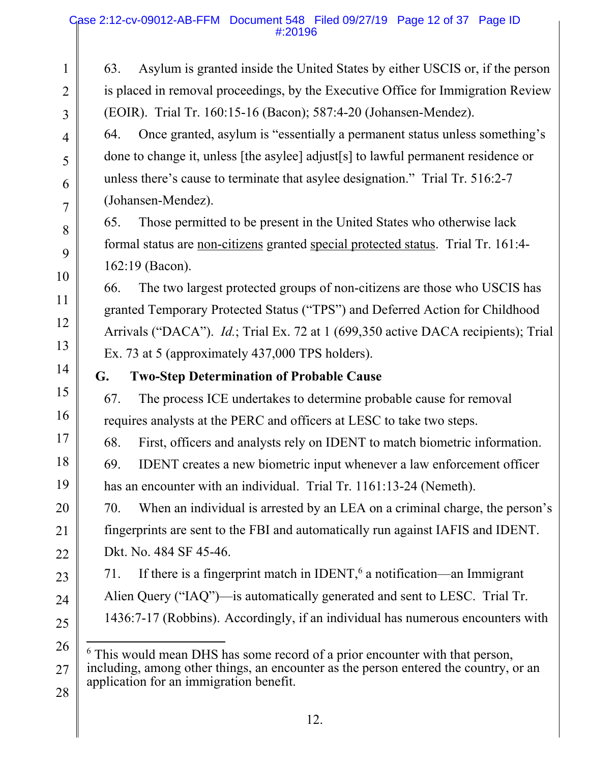#### Case 2:12-cv-09012-AB-FFM Document 548 Filed 09/27/19 Page 12 of 37 Page ID #:20196

1 2 3 4 5 6 7 8 9 10 11 12 13 14 15 16 17 18 19 20 21 22 23 24 25 26 63. Asylum is granted inside the United States by either USCIS or, if the person is placed in removal proceedings, by the Executive Office for Immigration Review (EOIR). Trial Tr. 160:15-16 (Bacon); 587:4-20 (Johansen-Mendez). 64. Once granted, asylum is "essentially a permanent status unless something's done to change it, unless [the asylee] adjust[s] to lawful permanent residence or unless there's cause to terminate that asylee designation." Trial Tr. 516:2-7 (Johansen-Mendez). 65. Those permitted to be present in the United States who otherwise lack formal status are non-citizens granted special protected status. Trial Tr. 161:4- 162:19 (Bacon). 66. The two largest protected groups of non-citizens are those who USCIS has granted Temporary Protected Status ("TPS") and Deferred Action for Childhood Arrivals ("DACA"). *Id.*; Trial Ex. 72 at 1 (699,350 active DACA recipients); Trial Ex. 73 at 5 (approximately 437,000 TPS holders). **G. Two-Step Determination of Probable Cause**  67. The process ICE undertakes to determine probable cause for removal requires analysts at the PERC and officers at LESC to take two steps. 68. First, officers and analysts rely on IDENT to match biometric information. 69. IDENT creates a new biometric input whenever a law enforcement officer has an encounter with an individual. Trial Tr. 1161:13-24 (Nemeth). 70. When an individual is arrested by an LEA on a criminal charge, the person's fingerprints are sent to the FBI and automatically run against IAFIS and IDENT. Dkt. No. 484 SF 45-46. 71. If there is a fingerprint match in IDENT,<sup>6</sup> a notification—an Immigrant Alien Query ("IAQ")—is automatically generated and sent to LESC. Trial Tr. 1436:7-17 (Robbins). Accordingly, if an individual has numerous encounters with  $\overline{a}$ 

<sup>27</sup>  28 <sup>6</sup> This would mean DHS has some record of a prior encounter with that person, including, among other things, an encounter as the person entered the country, or an application for an immigration benefit.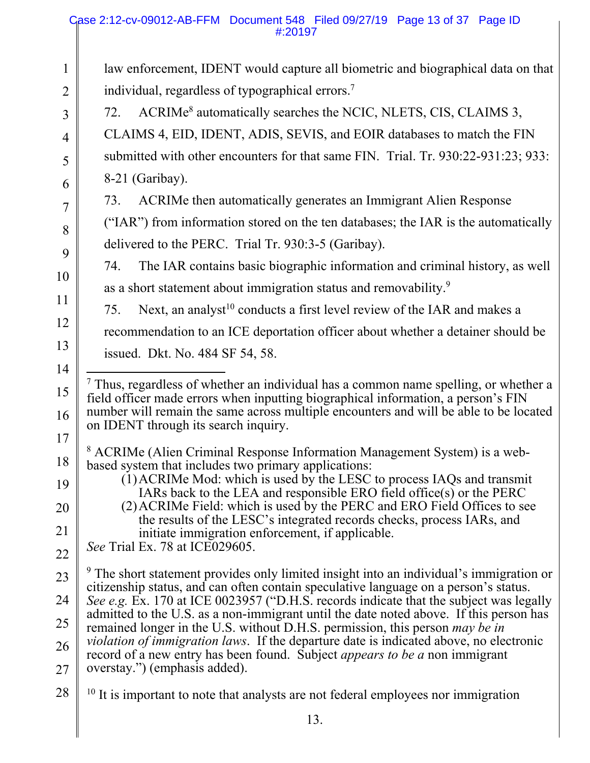#### Case 2:12-cv-09012-AB-FFM Document 548 Filed 09/27/19 Page 13 of 37 Page ID #:20197

1 2 3 4 5 6 7 8 9 10 11 12 13 14 15 16 17 18 19 20 21 22 23 24 25 26 27 28 law enforcement, IDENT would capture all biometric and biographical data on that individual, regardless of typographical errors.<sup>7</sup> 72. ACRIMe<sup>8</sup> automatically searches the NCIC, NLETS, CIS, CLAIMS 3, CLAIMS 4, EID, IDENT, ADIS, SEVIS, and EOIR databases to match the FIN submitted with other encounters for that same FIN. Trial. Tr. 930:22-931:23; 933: 8-21 (Garibay). 73. ACRIMe then automatically generates an Immigrant Alien Response ("IAR") from information stored on the ten databases; the IAR is the automatically delivered to the PERC. Trial Tr. 930:3-5 (Garibay). 74. The IAR contains basic biographic information and criminal history, as well as a short statement about immigration status and removability.<sup>9</sup> 75. Next, an analyst<sup>10</sup> conducts a first level review of the IAR and makes a recommendation to an ICE deportation officer about whether a detainer should be issued. Dkt. No. 484 SF 54, 58. -<sup>7</sup> Thus, regardless of whether an individual has a common name spelling, or whether a field officer made errors when inputting biographical information, a person's FIN number will remain the same across multiple encounters and will be able to be located on IDENT through its search inquiry. <sup>8</sup> ACRIMe (Alien Criminal Response Information Management System) is a webbased system that includes two primary applications: (1)ACRIMe Mod: which is used by the LESC to process IAQs and transmit IARs back to the LEA and responsible ERO field office(s) or the PERC (2)ACRIMe Field: which is used by the PERC and ERO Field Offices to see the results of the LESC's integrated records checks, process IARs, and initiate immigration enforcement, if applicable. *See* Trial Ex. 78 at ICE029605. <sup>9</sup> The short statement provides only limited insight into an individual's immigration or citizenship status, and can often contain speculative language on a person's status. *See e.g.* Ex. 170 at ICE 0023957 ("D.H.S. records indicate that the subject was legally admitted to the U.S. as a non-immigrant until the date noted above. If this person has remained longer in the U.S. without D.H.S. permission, this person *may be in violation of immigration laws*. If the departure date is indicated above, no electronic record of a new entry has been found. Subject *appears to be a* non immigrant overstay.") (emphasis added).  $10$  It is important to note that analysts are not federal employees nor immigration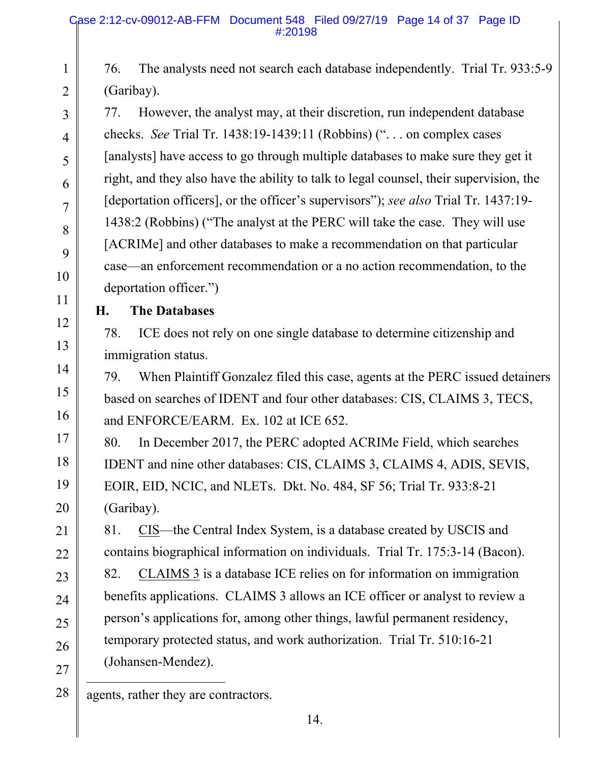76. The analysts need not search each database independently. Trial Tr. 933:5-9 (Garibay).

77. However, the analyst may, at their discretion, run independent database checks. *See* Trial Tr. 1438:19-1439:11 (Robbins) (". . . on complex cases [analysts] have access to go through multiple databases to make sure they get it right, and they also have the ability to talk to legal counsel, their supervision, the [deportation officers], or the officer's supervisors"); *see also* Trial Tr. 1437:19- 1438:2 (Robbins) ("The analyst at the PERC will take the case. They will use [ACRIMe] and other databases to make a recommendation on that particular case—an enforcement recommendation or a no action recommendation, to the deportation officer.")

1

2

3

4

5

6

7

8

9

10

11

12

13

14

15

16

17

18

19

20

21

22

23

24

25

26

27

## **H. The Databases**

78. ICE does not rely on one single database to determine citizenship and immigration status.

79. When Plaintiff Gonzalez filed this case, agents at the PERC issued detainers based on searches of IDENT and four other databases: CIS, CLAIMS 3, TECS, and ENFORCE/EARM. Ex. 102 at ICE 652.

80. In December 2017, the PERC adopted ACRIMe Field, which searches IDENT and nine other databases: CIS, CLAIMS 3, CLAIMS 4, ADIS, SEVIS, EOIR, EID, NCIC, and NLETs. Dkt. No. 484, SF 56; Trial Tr. 933:8-21 (Garibay).

81. CIS—the Central Index System, is a database created by USCIS and contains biographical information on individuals. Trial Tr. 175:3-14 (Bacon). 82. CLAIMS 3 is a database ICE relies on for information on immigration benefits applications. CLAIMS 3 allows an ICE officer or analyst to review a person's applications for, among other things, lawful permanent residency, temporary protected status, and work authorization. Trial Tr. 510:16-21 (Johansen-Mendez).

28  $\overline{a}$ agents, rather they are contractors.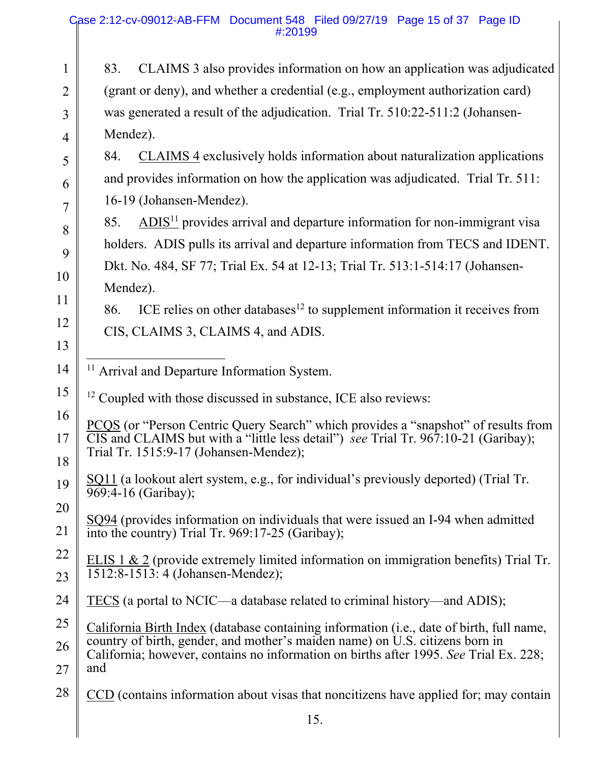|                | Case 2:12-cv-09012-AB-FFM Document 548 Filed 09/27/19 Page 15 of 37 Page ID<br>#:20199                                                                                                                                                 |  |  |  |  |  |
|----------------|----------------------------------------------------------------------------------------------------------------------------------------------------------------------------------------------------------------------------------------|--|--|--|--|--|
| $\mathbf{1}$   | CLAIMS 3 also provides information on how an application was adjudicated<br>83.                                                                                                                                                        |  |  |  |  |  |
| $\overline{2}$ | (grant or deny), and whether a credential (e.g., employment authorization card)                                                                                                                                                        |  |  |  |  |  |
| 3              | was generated a result of the adjudication. Trial Tr. 510:22-511:2 (Johansen-                                                                                                                                                          |  |  |  |  |  |
| 4              | Mendez).                                                                                                                                                                                                                               |  |  |  |  |  |
| 5              | CLAIMS 4 exclusively holds information about naturalization applications<br>84.                                                                                                                                                        |  |  |  |  |  |
| 6              | and provides information on how the application was adjudicated. Trial Tr. 511:                                                                                                                                                        |  |  |  |  |  |
| $\overline{7}$ | 16-19 (Johansen-Mendez).                                                                                                                                                                                                               |  |  |  |  |  |
| 8              | $ADIS11$ provides arrival and departure information for non-immigrant visa<br>85.                                                                                                                                                      |  |  |  |  |  |
| 9              | holders. ADIS pulls its arrival and departure information from TECS and IDENT.                                                                                                                                                         |  |  |  |  |  |
| 10             | Dkt. No. 484, SF 77; Trial Ex. 54 at 12-13; Trial Tr. 513:1-514:17 (Johansen-                                                                                                                                                          |  |  |  |  |  |
| 11             | Mendez).                                                                                                                                                                                                                               |  |  |  |  |  |
| 12             | ICE relies on other databases <sup>12</sup> to supplement information it receives from<br>86.                                                                                                                                          |  |  |  |  |  |
| 13             | CIS, CLAIMS 3, CLAIMS 4, and ADIS.                                                                                                                                                                                                     |  |  |  |  |  |
| 14             | <sup>11</sup> Arrival and Departure Information System.                                                                                                                                                                                |  |  |  |  |  |
| 15             | <sup>12</sup> Coupled with those discussed in substance, ICE also reviews:                                                                                                                                                             |  |  |  |  |  |
| 16             |                                                                                                                                                                                                                                        |  |  |  |  |  |
| 17<br>18       | PCQS (or "Person Centric Query Search" which provides a "snapshot" of results from<br>$\overline{\text{CIS}}$ and CLAIMS but with a "little less detail") see Trial Tr. 967:10-21 (Garibay);<br>Trial Tr. 1515:9-17 (Johansen-Mendez); |  |  |  |  |  |
| 19             | SQ11 (a lookout alert system, e.g., for individual's previously deported) (Trial Tr.<br>969:4-16 (Garibay);                                                                                                                            |  |  |  |  |  |
| 20             | SQ94 (provides information on individuals that were issued an I-94 when admitted                                                                                                                                                       |  |  |  |  |  |
| 21             | into the country) Trial Tr. 969:17-25 (Garibay);                                                                                                                                                                                       |  |  |  |  |  |
| 22             | ELIS $1 \& 2$ (provide extremely limited information on immigration benefits) Trial Tr.                                                                                                                                                |  |  |  |  |  |
| 23             | 1512:8-1513: 4 (Johansen-Mendez);                                                                                                                                                                                                      |  |  |  |  |  |
| 24             | <u>TECS</u> (a portal to NCIC—a database related to criminal history—and ADIS);                                                                                                                                                        |  |  |  |  |  |
| 25             | California Birth Index (database containing information (i.e., date of birth, full name,                                                                                                                                               |  |  |  |  |  |
| 26             | country of birth, gender, and mother's maiden name) on U.S. citizens born in<br>California; however, contains no information on births after 1995. See Trial Ex. 228;                                                                  |  |  |  |  |  |
| 27             | and                                                                                                                                                                                                                                    |  |  |  |  |  |
| 28             | CCD (contains information about visas that noncitizens have applied for; may contain                                                                                                                                                   |  |  |  |  |  |
|                | 15.                                                                                                                                                                                                                                    |  |  |  |  |  |
|                |                                                                                                                                                                                                                                        |  |  |  |  |  |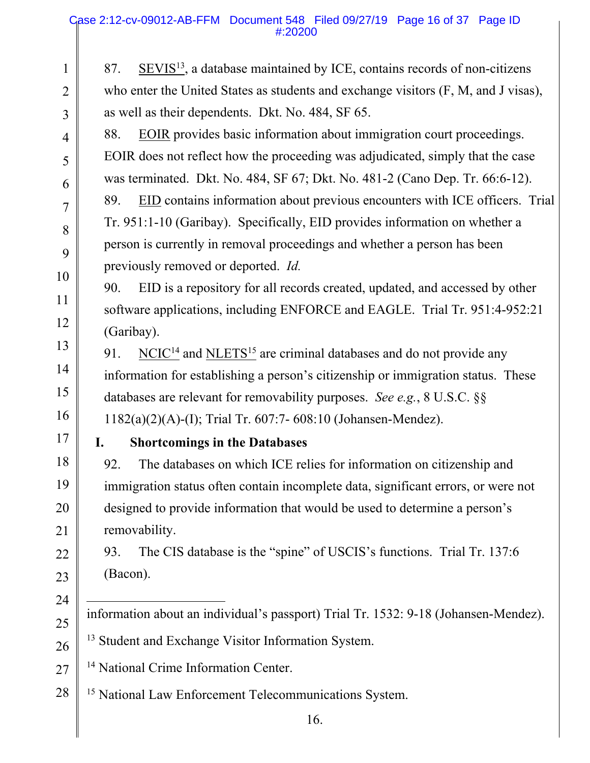1

2

3

4

5

6

7

8

9

10

11

12

13

14

15

16

17

18

19

20

21

22

23

24

25

26

27

87. SEVIS $^{13}$ , a database maintained by ICE, contains records of non-citizens who enter the United States as students and exchange visitors (F, M, and J visas), as well as their dependents. Dkt. No. 484, SF 65. 88. EOIR provides basic information about immigration court proceedings. EOIR does not reflect how the proceeding was adjudicated, simply that the case was terminated. Dkt. No. 484, SF 67; Dkt. No. 481-2 (Cano Dep. Tr. 66:6-12). 89. EID contains information about previous encounters with ICE officers. Trial Tr. 951:1-10 (Garibay). Specifically, EID provides information on whether a person is currently in removal proceedings and whether a person has been previously removed or deported. *Id.* 90. EID is a repository for all records created, updated, and accessed by other software applications, including ENFORCE and EAGLE. Trial Tr. 951:4-952:21 (Garibay). 91. NCIC<sup>14</sup> and NLETS<sup>15</sup> are criminal databases and do not provide any information for establishing a person's citizenship or immigration status. These databases are relevant for removability purposes. *See e.g.*, 8 U.S.C. §§ 1182(a)(2)(A)-(I); Trial Tr. 607:7- 608:10 (Johansen-Mendez). **I. Shortcomings in the Databases**  92. The databases on which ICE relies for information on citizenship and immigration status often contain incomplete data, significant errors, or were not designed to provide information that would be used to determine a person's removability. 93. The CIS database is the "spine" of USCIS's functions. Trial Tr. 137:6 (Bacon).  $\overline{a}$ information about an individual's passport) Trial Tr. 1532: 9-18 (Johansen-Mendez). <sup>13</sup> Student and Exchange Visitor Information System. <sup>14</sup> National Crime Information Center.

28 <sup>15</sup> National Law Enforcement Telecommunications System.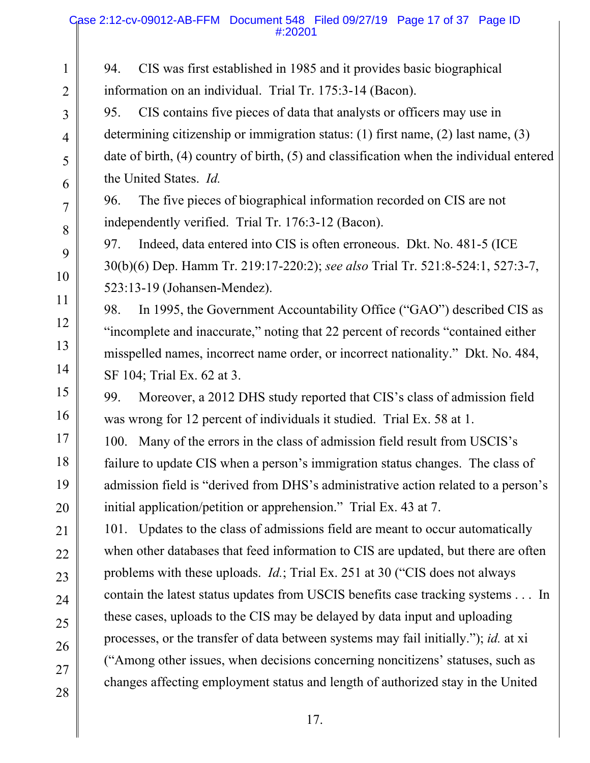94. CIS was first established in 1985 and it provides basic biographical information on an individual. Trial Tr. 175:3-14 (Bacon).

95. CIS contains five pieces of data that analysts or officers may use in determining citizenship or immigration status: (1) first name, (2) last name, (3) date of birth, (4) country of birth, (5) and classification when the individual entered the United States. *Id.*

96. The five pieces of biographical information recorded on CIS are not independently verified. Trial Tr. 176:3-12 (Bacon).

97. Indeed, data entered into CIS is often erroneous. Dkt. No. 481-5 (ICE 30(b)(6) Dep. Hamm Tr. 219:17-220:2); *see also* Trial Tr. 521:8-524:1, 527:3-7, 523:13-19 (Johansen-Mendez).

98. In 1995, the Government Accountability Office ("GAO") described CIS as "incomplete and inaccurate," noting that 22 percent of records "contained either misspelled names, incorrect name order, or incorrect nationality." Dkt. No. 484, SF 104; Trial Ex. 62 at 3.

99. Moreover, a 2012 DHS study reported that CIS's class of admission field was wrong for 12 percent of individuals it studied. Trial Ex. 58 at 1.

100. Many of the errors in the class of admission field result from USCIS's failure to update CIS when a person's immigration status changes. The class of admission field is "derived from DHS's administrative action related to a person's initial application/petition or apprehension." Trial Ex. 43 at 7.

101. Updates to the class of admissions field are meant to occur automatically when other databases that feed information to CIS are updated, but there are often problems with these uploads. *Id.*; Trial Ex. 251 at 30 ("CIS does not always contain the latest status updates from USCIS benefits case tracking systems . . . In these cases, uploads to the CIS may be delayed by data input and uploading processes, or the transfer of data between systems may fail initially."); *id.* at xi ("Among other issues, when decisions concerning noncitizens' statuses, such as changes affecting employment status and length of authorized stay in the United

21

1

2

3

4

5

7

8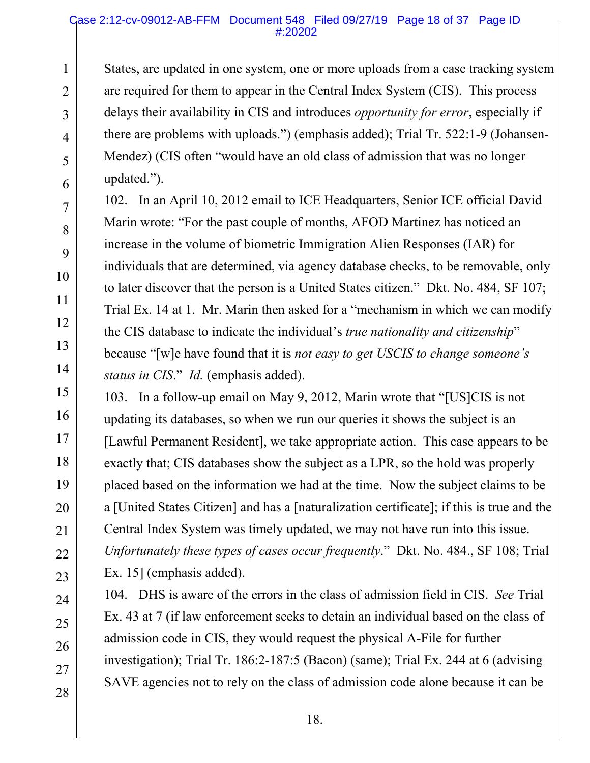#### Case 2:12-cv-09012-AB-FFM Document 548 Filed 09/27/19 Page 18 of 37 Page ID #:20202

States, are updated in one system, one or more uploads from a case tracking system are required for them to appear in the Central Index System (CIS). This process delays their availability in CIS and introduces *opportunity for error*, especially if there are problems with uploads.") (emphasis added); Trial Tr. 522:1-9 (Johansen-Mendez) (CIS often "would have an old class of admission that was no longer updated.").

102. In an April 10, 2012 email to ICE Headquarters, Senior ICE official David Marin wrote: "For the past couple of months, AFOD Martinez has noticed an increase in the volume of biometric Immigration Alien Responses (IAR) for individuals that are determined, via agency database checks, to be removable, only to later discover that the person is a United States citizen." Dkt. No. 484, SF 107; Trial Ex. 14 at 1. Mr. Marin then asked for a "mechanism in which we can modify the CIS database to indicate the individual's *true nationality and citizenship*" because "[w]e have found that it is *not easy to get USCIS to change someone's status in CIS*." *Id.* (emphasis added).

103. In a follow-up email on May 9, 2012, Marin wrote that "[US]CIS is not updating its databases, so when we run our queries it shows the subject is an [Lawful Permanent Resident], we take appropriate action. This case appears to be exactly that; CIS databases show the subject as a LPR, so the hold was properly placed based on the information we had at the time. Now the subject claims to be a [United States Citizen] and has a [naturalization certificate]; if this is true and the Central Index System was timely updated, we may not have run into this issue. *Unfortunately these types of cases occur frequently*." Dkt. No. 484., SF 108; Trial Ex. 15] (emphasis added).

104. DHS is aware of the errors in the class of admission field in CIS. *See* Trial Ex. 43 at 7 (if law enforcement seeks to detain an individual based on the class of admission code in CIS, they would request the physical A-File for further investigation); Trial Tr. 186:2-187:5 (Bacon) (same); Trial Ex. 244 at 6 (advising SAVE agencies not to rely on the class of admission code alone because it can be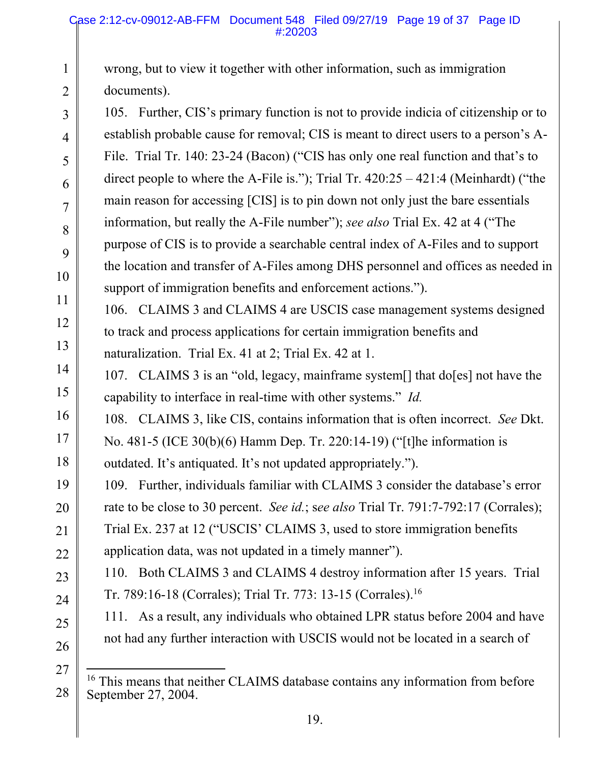wrong, but to view it together with other information, such as immigration documents).

105. Further, CIS's primary function is not to provide indicia of citizenship or to establish probable cause for removal; CIS is meant to direct users to a person's A-File. Trial Tr. 140: 23-24 (Bacon) ("CIS has only one real function and that's to direct people to where the A-File is."); Trial Tr.  $420:25 - 421:4$  (Meinhardt) ("the main reason for accessing [CIS] is to pin down not only just the bare essentials information, but really the A-File number"); *see also* Trial Ex. 42 at 4 ("The purpose of CIS is to provide a searchable central index of A-Files and to support the location and transfer of A-Files among DHS personnel and offices as needed in support of immigration benefits and enforcement actions.").

106. CLAIMS 3 and CLAIMS 4 are USCIS case management systems designed to track and process applications for certain immigration benefits and naturalization. Trial Ex. 41 at 2; Trial Ex. 42 at 1.

107. CLAIMS 3 is an "old, legacy, mainframe system[] that do[es] not have the capability to interface in real-time with other systems." *Id.*

108. CLAIMS 3, like CIS, contains information that is often incorrect. *See* Dkt.

No. 481-5 (ICE 30(b)(6) Hamm Dep. Tr. 220:14-19) ("[t]he information is outdated. It's antiquated. It's not updated appropriately.").

109. Further, individuals familiar with CLAIMS 3 consider the database's error rate to be close to 30 percent. *See id.*; s*ee also* Trial Tr. 791:7-792:17 (Corrales); Trial Ex. 237 at 12 ("USCIS' CLAIMS 3, used to store immigration benefits application data, was not updated in a timely manner").

110. Both CLAIMS 3 and CLAIMS 4 destroy information after 15 years. Trial Tr. 789:16-18 (Corrales); Trial Tr. 773: 13-15 (Corrales).16

111. As a result, any individuals who obtained LPR status before 2004 and have not had any further interaction with USCIS would not be located in a search of

26 27

28

1

2

3

4

5

6

7

8

9

10

11

12

13

14

15

16

17

18

19

20

21

22

23

24

 $\overline{a}$ <sup>16</sup> This means that neither CLAIMS database contains any information from before September 27, 2004.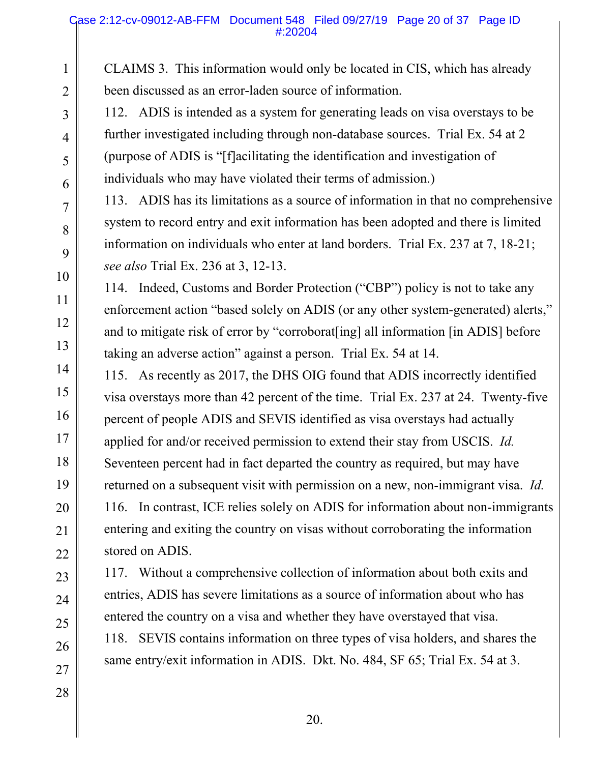CLAIMS 3. This information would only be located in CIS, which has already been discussed as an error-laden source of information.

112. ADIS is intended as a system for generating leads on visa overstays to be further investigated including through non-database sources. Trial Ex. 54 at 2 (purpose of ADIS is "[f]acilitating the identification and investigation of individuals who may have violated their terms of admission.)

113. ADIS has its limitations as a source of information in that no comprehensive system to record entry and exit information has been adopted and there is limited information on individuals who enter at land borders. Trial Ex. 237 at 7, 18-21; *see also* Trial Ex. 236 at 3, 12-13.

114. Indeed, Customs and Border Protection ("CBP") policy is not to take any enforcement action "based solely on ADIS (or any other system-generated) alerts," and to mitigate risk of error by "corroborat[ing] all information [in ADIS] before taking an adverse action" against a person. Trial Ex. 54 at 14.

115. As recently as 2017, the DHS OIG found that ADIS incorrectly identified visa overstays more than 42 percent of the time. Trial Ex. 237 at 24. Twenty-five percent of people ADIS and SEVIS identified as visa overstays had actually applied for and/or received permission to extend their stay from USCIS. *Id.* Seventeen percent had in fact departed the country as required, but may have returned on a subsequent visit with permission on a new, non-immigrant visa. *Id.* 116. In contrast, ICE relies solely on ADIS for information about non-immigrants entering and exiting the country on visas without corroborating the information stored on ADIS.

117. Without a comprehensive collection of information about both exits and entries, ADIS has severe limitations as a source of information about who has entered the country on a visa and whether they have overstayed that visa. 118. SEVIS contains information on three types of visa holders, and shares the

same entry/exit information in ADIS. Dkt. No. 484, SF 65; Trial Ex. 54 at 3.

1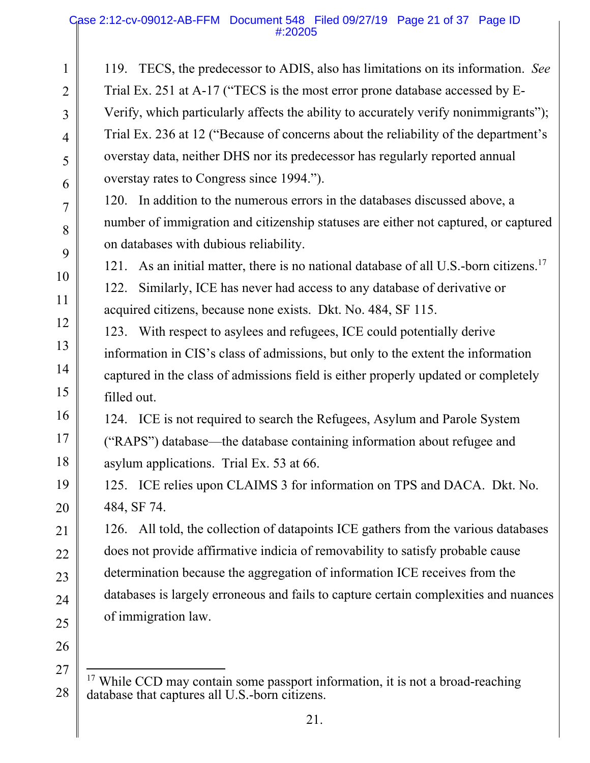#### Case 2:12-cv-09012-AB-FFM Document 548 Filed 09/27/19 Page 21 of 37 Page ID #:20205

1 2 3 4 5 6 7 8 9 10 11 12 13 14 15 16 17 18 19 20 21 22 23 24 25 26 27 119. TECS, the predecessor to ADIS, also has limitations on its information. *See*  Trial Ex. 251 at A-17 ("TECS is the most error prone database accessed by E-Verify, which particularly affects the ability to accurately verify nonimmigrants"); Trial Ex. 236 at 12 ("Because of concerns about the reliability of the department's overstay data, neither DHS nor its predecessor has regularly reported annual overstay rates to Congress since 1994."). 120. In addition to the numerous errors in the databases discussed above, a number of immigration and citizenship statuses are either not captured, or captured on databases with dubious reliability. 121. As an initial matter, there is no national database of all U.S.-born citizens.<sup>17</sup> 122. Similarly, ICE has never had access to any database of derivative or acquired citizens, because none exists. Dkt. No. 484, SF 115. 123. With respect to asylees and refugees, ICE could potentially derive information in CIS's class of admissions, but only to the extent the information captured in the class of admissions field is either properly updated or completely filled out. 124. ICE is not required to search the Refugees, Asylum and Parole System ("RAPS") database—the database containing information about refugee and asylum applications. Trial Ex. 53 at 66. 125. ICE relies upon CLAIMS 3 for information on TPS and DACA. Dkt. No. 484, SF 74. 126. All told, the collection of datapoints ICE gathers from the various databases does not provide affirmative indicia of removability to satisfy probable cause determination because the aggregation of information ICE receives from the databases is largely erroneous and fails to capture certain complexities and nuances of immigration law.  $\overline{a}$ 

<sup>28</sup>   $17$  While CCD may contain some passport information, it is not a broad-reaching database that captures all U.S.-born citizens.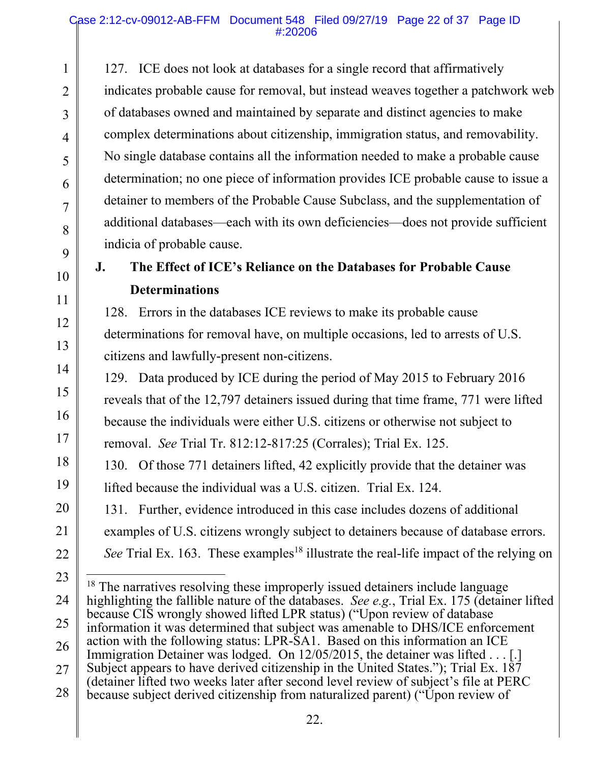127. ICE does not look at databases for a single record that affirmatively indicates probable cause for removal, but instead weaves together a patchwork web of databases owned and maintained by separate and distinct agencies to make complex determinations about citizenship, immigration status, and removability. No single database contains all the information needed to make a probable cause determination; no one piece of information provides ICE probable cause to issue a detainer to members of the Probable Cause Subclass, and the supplementation of additional databases—each with its own deficiencies—does not provide sufficient indicia of probable cause.

# 10

1

2

3

4

5

6

7

8

9

11

12

13

14

15

16

17

18

19

20

21

22

## **J. The Effect of ICE's Reliance on the Databases for Probable Cause Determinations**

128. Errors in the databases ICE reviews to make its probable cause determinations for removal have, on multiple occasions, led to arrests of U.S. citizens and lawfully-present non-citizens.

129. Data produced by ICE during the period of May 2015 to February 2016 reveals that of the 12,797 detainers issued during that time frame, 771 were lifted because the individuals were either U.S. citizens or otherwise not subject to removal. *See* Trial Tr. 812:12-817:25 (Corrales); Trial Ex. 125.

130. Of those 771 detainers lifted, 42 explicitly provide that the detainer was lifted because the individual was a U.S. citizen. Trial Ex. 124.

131. Further, evidence introduced in this case includes dozens of additional

examples of U.S. citizens wrongly subject to detainers because of database errors.

*See* Trial Ex. 163. These examples<sup>18</sup> illustrate the real-life impact of the relying on

<sup>23</sup>  24 25 26 27 28 - $18$  The narratives resolving these improperly issued detainers include language highlighting the fallible nature of the databases. *See e.g.*, Trial Ex. 175 (detainer lifted because CIS wrongly showed lifted LPR status) ("Upon review of database information it was determined that subject was amenable to DHS/ICE enforcement action with the following status: LPR-SA1. Based on this information an ICE Immigration Detainer was lodged. On 12/05/2015, the detainer was lifted . . . [.] Subject appears to have derived citizenship in the United States."); Trial Ex.  $18\overline{7}$ (detainer lifted two weeks later after second level review of subject's file at PERC because subject derived citizenship from naturalized parent) ("Upon review of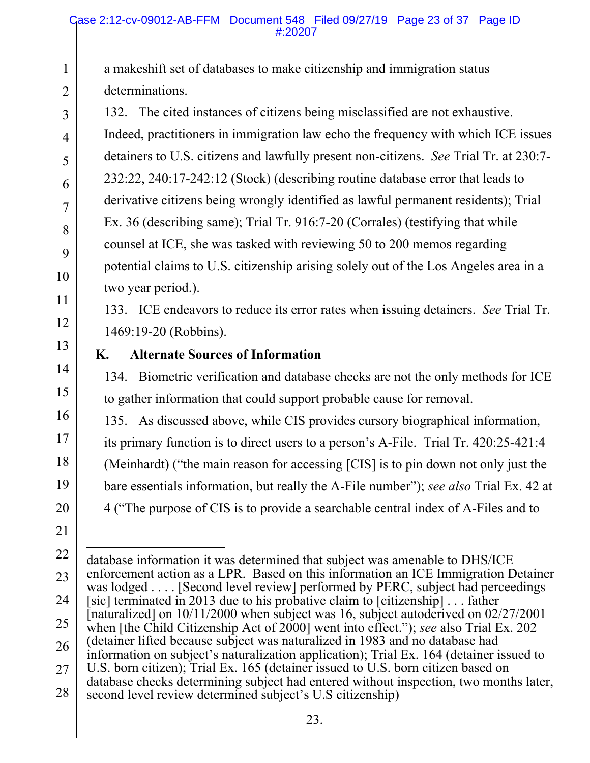a makeshift set of databases to make citizenship and immigration status determinations.

132. The cited instances of citizens being misclassified are not exhaustive. Indeed, practitioners in immigration law echo the frequency with which ICE issues detainers to U.S. citizens and lawfully present non-citizens. *See* Trial Tr. at 230:7- 232:22, 240:17-242:12 (Stock) (describing routine database error that leads to derivative citizens being wrongly identified as lawful permanent residents); Trial Ex. 36 (describing same); Trial Tr. 916:7-20 (Corrales) (testifying that while counsel at ICE, she was tasked with reviewing 50 to 200 memos regarding potential claims to U.S. citizenship arising solely out of the Los Angeles area in a two year period.).

133. ICE endeavors to reduce its error rates when issuing detainers. *See* Trial Tr. 1469:19-20 (Robbins).

## **K. Alternate Sources of Information**

134. Biometric verification and database checks are not the only methods for ICE to gather information that could support probable cause for removal.

135. As discussed above, while CIS provides cursory biographical information, its primary function is to direct users to a person's A-File. Trial Tr. 420:25-421:4 (Meinhardt) ("the main reason for accessing [CIS] is to pin down not only just the bare essentials information, but really the A-File number"); *see also* Trial Ex. 42 at 4 ("The purpose of CIS is to provide a searchable central index of A-Files and to

 $\overline{a}$ 

1

2

3

4

5

6

7

8

9

10

11

12

13

14

15

16

17

18

24 25

[sic] terminated in 2013 due to his probative claim to [citizenship] . . . father

database information it was determined that subject was amenable to DHS/ICE

enforcement action as a LPR. Based on this information an ICE Immigration Detainer was lodged . . . . [Second level review] performed by PERC, subject had perceedings

<sup>19</sup>  20 21 22 23

<sup>[</sup>naturalized] on 10/11/2000 when subject was 16, subject autoderived on 02/27/2001 when [the Child Citizenship Act of 2000] went into effect."); *see* also Trial Ex. 202

<sup>26</sup>  (detainer lifted because subject was naturalized in 1983 and no database had

information on subject's naturalization application); Trial Ex. 164 (detainer issued to U.S. born citizen); Trial Ex. 165 (detainer issued to U.S. born citizen based on

<sup>27</sup>  database checks determining subject had entered without inspection, two months later,

<sup>28</sup>  second level review determined subject's U.S citizenship)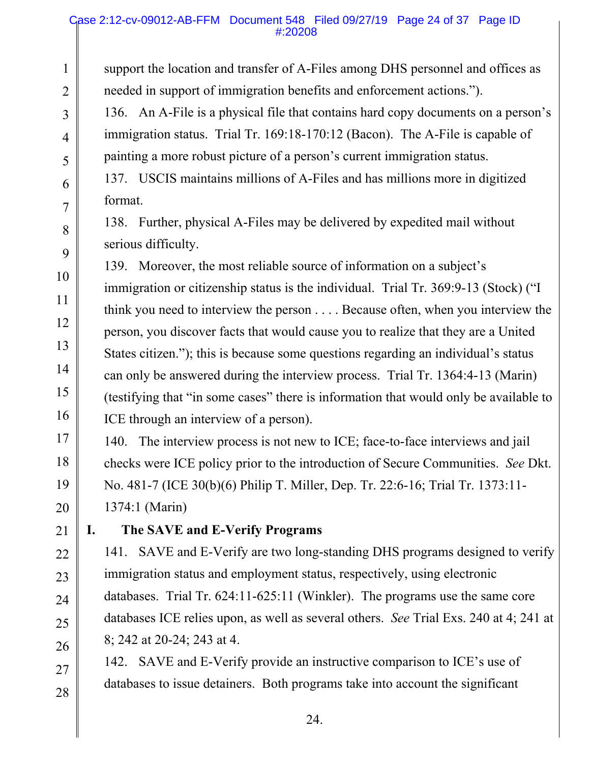#### Case 2:12-cv-09012-AB-FFM Document 548 Filed 09/27/19 Page 24 of 37 Page ID #:20208

1

2

3

4

5

6

7

8

9

10

11

12

13

14

15

16

17

18

19

20

21

22

23

24

25

26

27

28

support the location and transfer of A-Files among DHS personnel and offices as needed in support of immigration benefits and enforcement actions."). 136. An A-File is a physical file that contains hard copy documents on a person's immigration status. Trial Tr. 169:18-170:12 (Bacon). The A-File is capable of painting a more robust picture of a person's current immigration status. 137. USCIS maintains millions of A-Files and has millions more in digitized format. 138. Further, physical A-Files may be delivered by expedited mail without serious difficulty. 139. Moreover, the most reliable source of information on a subject's immigration or citizenship status is the individual. Trial Tr. 369:9-13 (Stock) ("I think you need to interview the person . . . . Because often, when you interview the person, you discover facts that would cause you to realize that they are a United States citizen."); this is because some questions regarding an individual's status can only be answered during the interview process. Trial Tr. 1364:4-13 (Marin) (testifying that "in some cases" there is information that would only be available to ICE through an interview of a person). 140. The interview process is not new to ICE; face-to-face interviews and jail checks were ICE policy prior to the introduction of Secure Communities. *See* Dkt. No. 481-7 (ICE 30(b)(6) Philip T. Miller, Dep. Tr. 22:6-16; Trial Tr. 1373:11- 1374:1 (Marin) **I. The SAVE and E-Verify Programs**  141. SAVE and E-Verify are two long-standing DHS programs designed to verify

immigration status and employment status, respectively, using electronic databases. Trial Tr. 624:11-625:11 (Winkler). The programs use the same core databases ICE relies upon, as well as several others. *See* Trial Exs. 240 at 4; 241 at 8; 242 at 20-24; 243 at 4.

142. SAVE and E-Verify provide an instructive comparison to ICE's use of databases to issue detainers. Both programs take into account the significant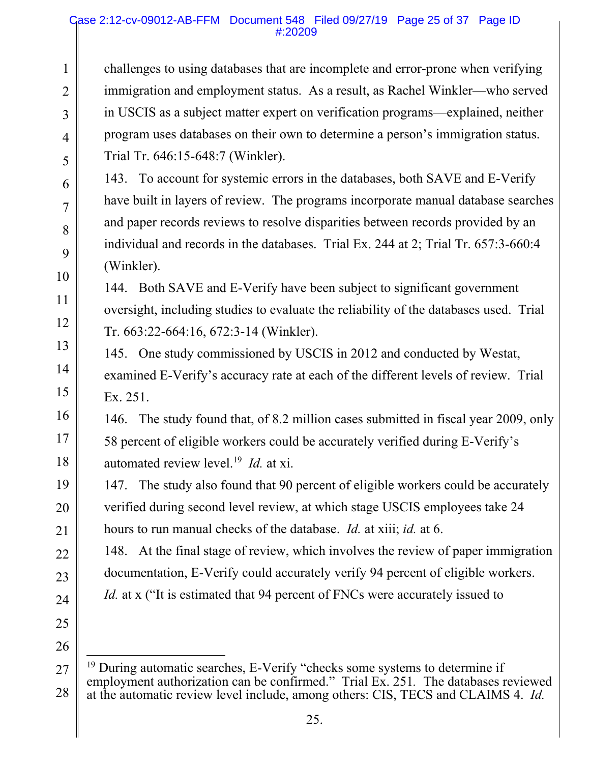#### Case 2:12-cv-09012-AB-FFM Document 548 Filed 09/27/19 Page 25 of 37 Page ID #:20209

challenges to using databases that are incomplete and error-prone when verifying immigration and employment status. As a result, as Rachel Winkler—who served in USCIS as a subject matter expert on verification programs—explained, neither program uses databases on their own to determine a person's immigration status. Trial Tr. 646:15-648:7 (Winkler).

143. To account for systemic errors in the databases, both SAVE and E-Verify have built in layers of review. The programs incorporate manual database searches and paper records reviews to resolve disparities between records provided by an individual and records in the databases. Trial Ex. 244 at 2; Trial Tr. 657:3-660:4 (Winkler).

144. Both SAVE and E-Verify have been subject to significant government oversight, including studies to evaluate the reliability of the databases used. Trial Tr. 663:22-664:16, 672:3-14 (Winkler).

145. One study commissioned by USCIS in 2012 and conducted by Westat, examined E-Verify's accuracy rate at each of the different levels of review. Trial Ex. 251.

146. The study found that, of 8.2 million cases submitted in fiscal year 2009, only 58 percent of eligible workers could be accurately verified during E-Verify's automated review level.19 *Id.* at xi.

147. The study also found that 90 percent of eligible workers could be accurately verified during second level review, at which stage USCIS employees take 24 hours to run manual checks of the database. *Id.* at xiii; *id.* at 6.

148. At the final stage of review, which involves the review of paper immigration documentation, E-Verify could accurately verify 94 percent of eligible workers. *Id.* at x ("It is estimated that 94 percent of FNCs were accurately issued to

25

26

1

2

3

4

5

6

7

8

9

10

11

12

13

14

15

16

17

18

19

20

21

22

23

<sup>27</sup>  28 - $19$  During automatic searches, E-Verify "checks some systems to determine if employment authorization can be confirmed." Trial Ex. 251*.* The databases reviewed at the automatic review level include, among others: CIS, TECS and CLAIMS 4. *Id.*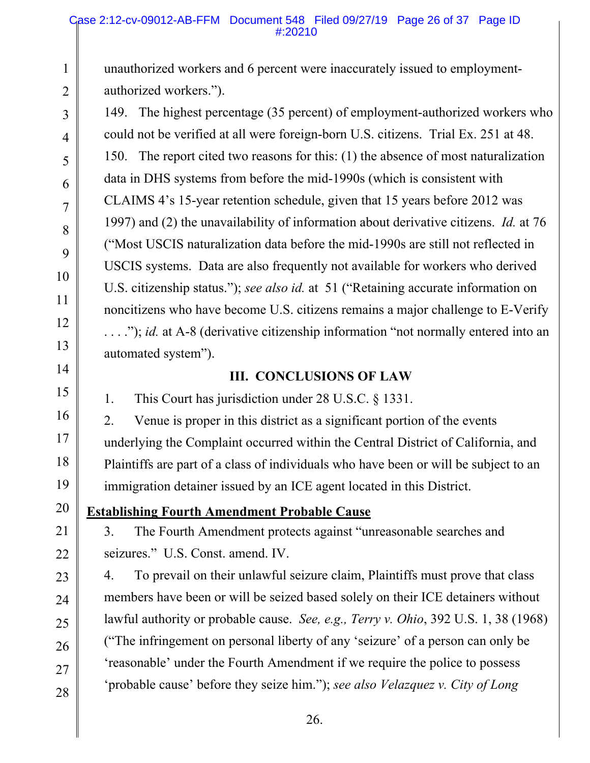unauthorized workers and 6 percent were inaccurately issued to employmentauthorized workers.").

149. The highest percentage (35 percent) of employment-authorized workers who could not be verified at all were foreign-born U.S. citizens. Trial Ex. 251 at 48. 150. The report cited two reasons for this: (1) the absence of most naturalization data in DHS systems from before the mid-1990s (which is consistent with CLAIMS 4's 15-year retention schedule, given that 15 years before 2012 was 1997) and (2) the unavailability of information about derivative citizens. *Id.* at 76 ("Most USCIS naturalization data before the mid-1990s are still not reflected in USCIS systems. Data are also frequently not available for workers who derived U.S. citizenship status."); *see also id.* at 51 ("Retaining accurate information on noncitizens who have become U.S. citizens remains a major challenge to E-Verify . . . ."); *id.* at A-8 (derivative citizenship information "not normally entered into an automated system").

### **III. CONCLUSIONS OF LAW**

1. This Court has jurisdiction under 28 U.S.C. § 1331.

2. Venue is proper in this district as a significant portion of the events underlying the Complaint occurred within the Central District of California, and Plaintiffs are part of a class of individuals who have been or will be subject to an immigration detainer issued by an ICE agent located in this District.

**Establishing Fourth Amendment Probable Cause** 

3. The Fourth Amendment protects against "unreasonable searches and seizures." U.S. Const. amend. IV.

4. To prevail on their unlawful seizure claim, Plaintiffs must prove that class members have been or will be seized based solely on their ICE detainers without lawful authority or probable cause. *See, e.g., Terry v. Ohio*, 392 U.S. 1, 38 (1968) ("The infringement on personal liberty of any 'seizure' of a person can only be 'reasonable' under the Fourth Amendment if we require the police to possess 'probable cause' before they seize him."); *see also Velazquez v. City of Long*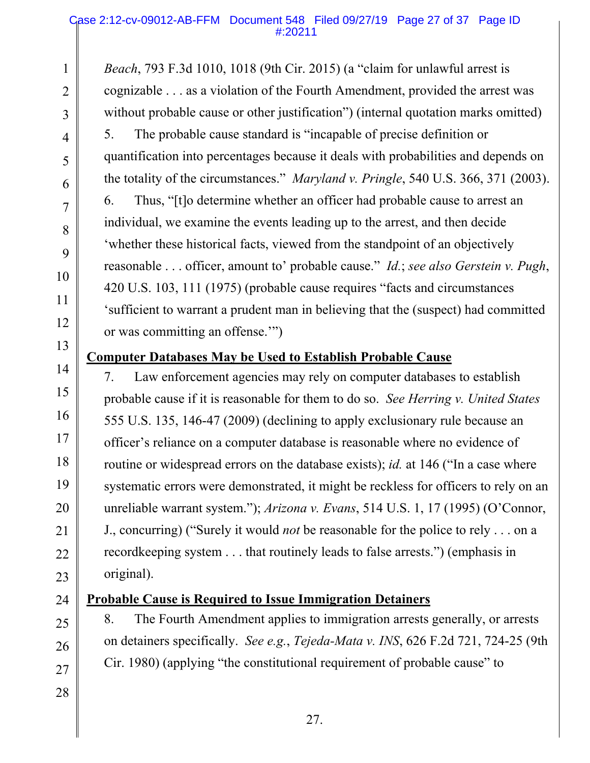*Beach*, 793 F.3d 1010, 1018 (9th Cir. 2015) (a "claim for unlawful arrest is cognizable . . . as a violation of the Fourth Amendment, provided the arrest was without probable cause or other justification") (internal quotation marks omitted) 5. The probable cause standard is "incapable of precise definition or quantification into percentages because it deals with probabilities and depends on the totality of the circumstances." *Maryland v. Pringle*, 540 U.S. 366, 371 (2003). 6. Thus, "[t]o determine whether an officer had probable cause to arrest an individual, we examine the events leading up to the arrest, and then decide 'whether these historical facts, viewed from the standpoint of an objectively reasonable . . . officer, amount to' probable cause." *Id.*; *see also Gerstein v. Pugh*, 420 U.S. 103, 111 (1975) (probable cause requires "facts and circumstances 'sufficient to warrant a prudent man in believing that the (suspect) had committed or was committing an offense.'")

### **Computer Databases May be Used to Establish Probable Cause**

7. Law enforcement agencies may rely on computer databases to establish probable cause if it is reasonable for them to do so. *See Herring v. United States* 555 U.S. 135, 146-47 (2009) (declining to apply exclusionary rule because an officer's reliance on a computer database is reasonable where no evidence of routine or widespread errors on the database exists); *id.* at 146 ("In a case where systematic errors were demonstrated, it might be reckless for officers to rely on an unreliable warrant system."); *Arizona v. Evans*, 514 U.S. 1, 17 (1995) (O'Connor, J., concurring) ("Surely it would *not* be reasonable for the police to rely . . . on a recordkeeping system . . . that routinely leads to false arrests.") (emphasis in original).

## **Probable Cause is Required to Issue Immigration Detainers**

8. The Fourth Amendment applies to immigration arrests generally, or arrests on detainers specifically. *See e.g.*, *Tejeda-Mata v. INS*, 626 F.2d 721, 724-25 (9th Cir. 1980) (applying "the constitutional requirement of probable cause" to

1

2

3

4

5

6

7

8

9

10

11

12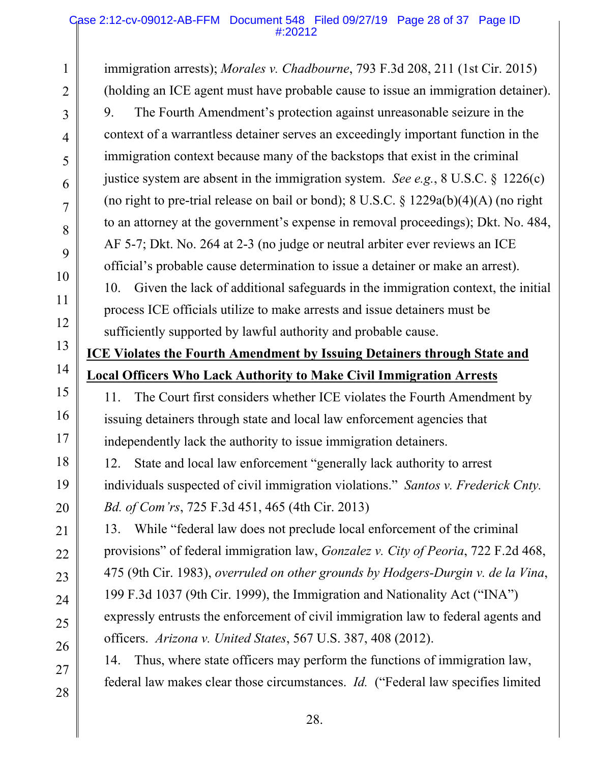#### Case 2:12-cv-09012-AB-FFM Document 548 Filed 09/27/19 Page 28 of 37 Page ID #:20212

1

2

3

4

5

6

7

8

9

10

11

12

13

14

15

16

17

18

19

20

21

22

23

24

25

26

27

28

immigration arrests); *Morales v. Chadbourne*, 793 F.3d 208, 211 (1st Cir. 2015) (holding an ICE agent must have probable cause to issue an immigration detainer). 9. The Fourth Amendment's protection against unreasonable seizure in the context of a warrantless detainer serves an exceedingly important function in the immigration context because many of the backstops that exist in the criminal justice system are absent in the immigration system. *See e.g.*, 8 U.S.C. § 1226(c) (no right to pre-trial release on bail or bond); 8 U.S.C. § 1229a(b)(4)(A) (no right to an attorney at the government's expense in removal proceedings); Dkt. No. 484, AF 5-7; Dkt. No. 264 at 2-3 (no judge or neutral arbiter ever reviews an ICE official's probable cause determination to issue a detainer or make an arrest). 10. Given the lack of additional safeguards in the immigration context, the initial process ICE officials utilize to make arrests and issue detainers must be sufficiently supported by lawful authority and probable cause. **ICE Violates the Fourth Amendment by Issuing Detainers through State and Local Officers Who Lack Authority to Make Civil Immigration Arrests**  11. The Court first considers whether ICE violates the Fourth Amendment by issuing detainers through state and local law enforcement agencies that independently lack the authority to issue immigration detainers. 12. State and local law enforcement "generally lack authority to arrest individuals suspected of civil immigration violations." *Santos v. Frederick Cnty. Bd. of Com'rs*, 725 F.3d 451, 465 (4th Cir. 2013) 13. While "federal law does not preclude local enforcement of the criminal provisions" of federal immigration law, *Gonzalez v. City of Peoria*, 722 F.2d 468, 475 (9th Cir. 1983), *overruled on other grounds by Hodgers-Durgin v. de la Vina*, 199 F.3d 1037 (9th Cir. 1999), the Immigration and Nationality Act ("INA") expressly entrusts the enforcement of civil immigration law to federal agents and officers. *Arizona v. United States*, 567 U.S. 387, 408 (2012). 14. Thus, where state officers may perform the functions of immigration law, federal law makes clear those circumstances. *Id.* ("Federal law specifies limited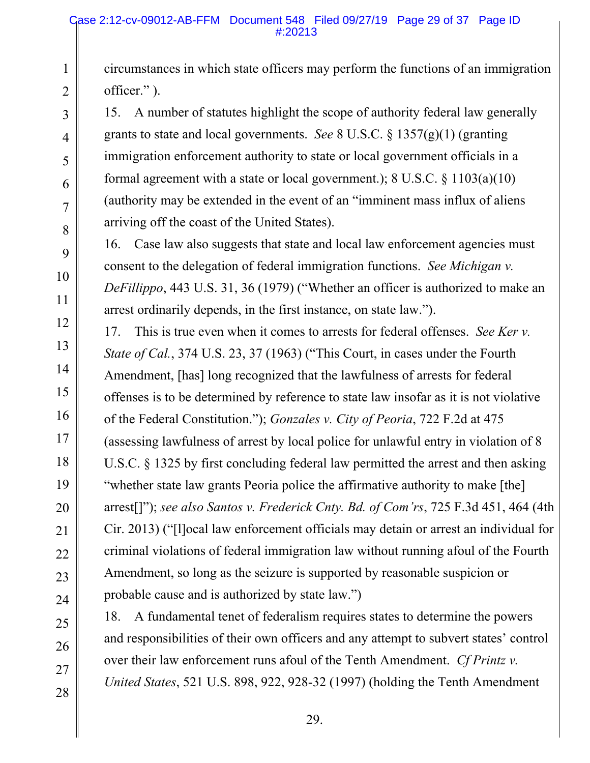circumstances in which state officers may perform the functions of an immigration officer." ).

15. A number of statutes highlight the scope of authority federal law generally grants to state and local governments. *See* 8 U.S.C. § 1357(g)(1) (granting immigration enforcement authority to state or local government officials in a formal agreement with a state or local government.);  $8 \text{ U.S.C. } 8 \text{ 1103(a)(10)}$ (authority may be extended in the event of an "imminent mass influx of aliens arriving off the coast of the United States).

16. Case law also suggests that state and local law enforcement agencies must consent to the delegation of federal immigration functions. *See Michigan v. DeFillippo*, 443 U.S. 31, 36 (1979) ("Whether an officer is authorized to make an arrest ordinarily depends, in the first instance, on state law.").

17. This is true even when it comes to arrests for federal offenses. *See Ker v. State of Cal.*, 374 U.S. 23, 37 (1963) ("This Court, in cases under the Fourth Amendment, [has] long recognized that the lawfulness of arrests for federal offenses is to be determined by reference to state law insofar as it is not violative of the Federal Constitution."); *Gonzales v. City of Peoria*, 722 F.2d at 475 (assessing lawfulness of arrest by local police for unlawful entry in violation of 8 U.S.C. § 1325 by first concluding federal law permitted the arrest and then asking "whether state law grants Peoria police the affirmative authority to make [the] arrest[]"); *see also Santos v. Frederick Cnty. Bd. of Com'rs*, 725 F.3d 451, 464 (4th Cir. 2013) ("[l]ocal law enforcement officials may detain or arrest an individual for criminal violations of federal immigration law without running afoul of the Fourth Amendment, so long as the seizure is supported by reasonable suspicion or probable cause and is authorized by state law.")

18. A fundamental tenet of federalism requires states to determine the powers and responsibilities of their own officers and any attempt to subvert states' control over their law enforcement runs afoul of the Tenth Amendment. *Cf Printz v. United States*, 521 U.S. 898, 922, 928-32 (1997) (holding the Tenth Amendment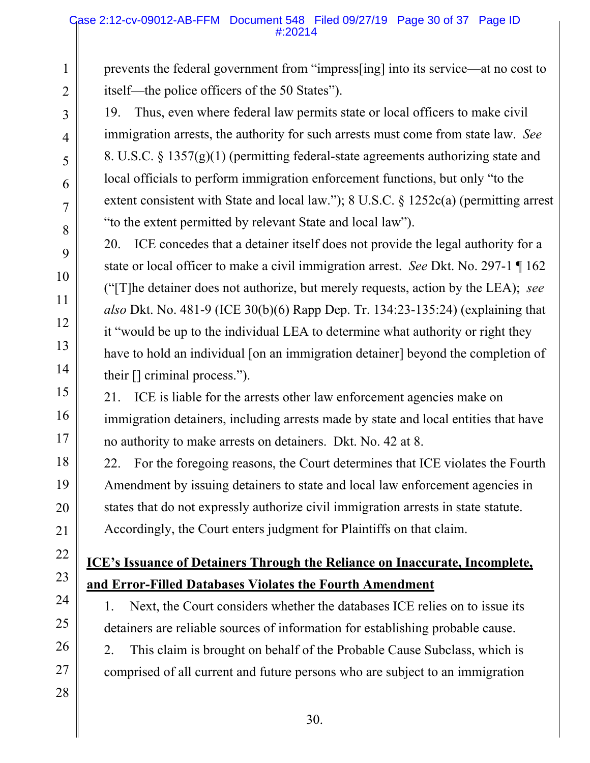#### Case 2:12-cv-09012-AB-FFM Document 548 Filed 09/27/19 Page 30 of 37 Page ID #:20214

prevents the federal government from "impress[ing] into its service—at no cost to itself—the police officers of the 50 States").

19. Thus, even where federal law permits state or local officers to make civil immigration arrests, the authority for such arrests must come from state law. *See*  8. U.S.C. § 1357(g)(1) (permitting federal-state agreements authorizing state and local officials to perform immigration enforcement functions, but only "to the extent consistent with State and local law."); 8 U.S.C. § 1252c(a) (permitting arrest "to the extent permitted by relevant State and local law").

20. ICE concedes that a detainer itself does not provide the legal authority for a state or local officer to make a civil immigration arrest. *See* Dkt. No. 297-1 ¶ 162 ("[T]he detainer does not authorize, but merely requests, action by the LEA); *see also* Dkt. No. 481-9 (ICE 30(b)(6) Rapp Dep. Tr. 134:23-135:24) (explaining that it "would be up to the individual LEA to determine what authority or right they have to hold an individual [on an immigration detainer] beyond the completion of their [] criminal process.").

21. ICE is liable for the arrests other law enforcement agencies make on immigration detainers, including arrests made by state and local entities that have no authority to make arrests on detainers. Dkt. No. 42 at 8.

22. For the foregoing reasons, the Court determines that ICE violates the Fourth Amendment by issuing detainers to state and local law enforcement agencies in states that do not expressly authorize civil immigration arrests in state statute. Accordingly, the Court enters judgment for Plaintiffs on that claim.

## **ICE's Issuance of Detainers Through the Reliance on Inaccurate, Incomplete, and Error-Filled Databases Violates the Fourth Amendment**

1. Next, the Court considers whether the databases ICE relies on to issue its detainers are reliable sources of information for establishing probable cause.

2. This claim is brought on behalf of the Probable Cause Subclass, which is comprised of all current and future persons who are subject to an immigration

1

2

3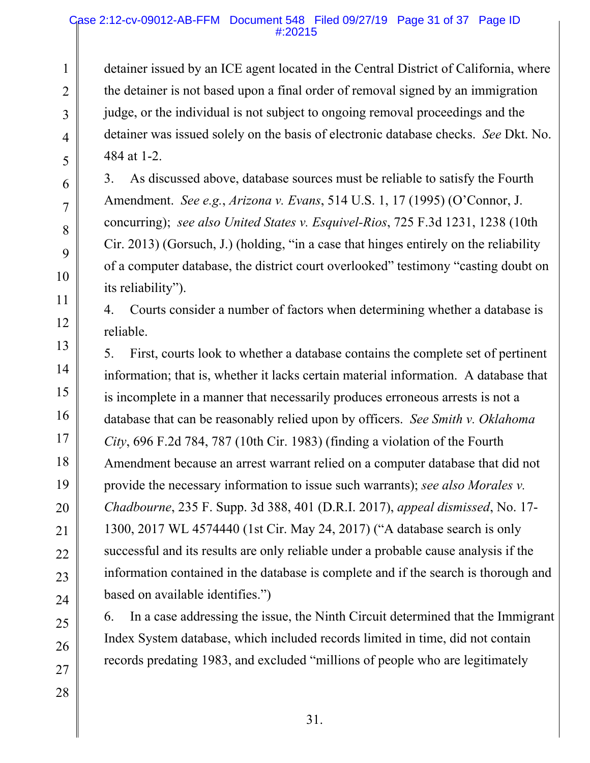#### Case 2:12-cv-09012-AB-FFM Document 548 Filed 09/27/19 Page 31 of 37 Page ID #:20215

detainer issued by an ICE agent located in the Central District of California, where the detainer is not based upon a final order of removal signed by an immigration judge, or the individual is not subject to ongoing removal proceedings and the detainer was issued solely on the basis of electronic database checks. *See* Dkt. No. 484 at 1-2.

3. As discussed above, database sources must be reliable to satisfy the Fourth Amendment. *See e.g.*, *Arizona v. Evans*, 514 U.S. 1, 17 (1995) (O'Connor, J. concurring); *see also United States v. Esquivel-Rios*, 725 F.3d 1231, 1238 (10th Cir. 2013) (Gorsuch, J.) (holding, "in a case that hinges entirely on the reliability of a computer database, the district court overlooked" testimony "casting doubt on its reliability").

4. Courts consider a number of factors when determining whether a database is reliable.

5. First, courts look to whether a database contains the complete set of pertinent information; that is, whether it lacks certain material information. A database that is incomplete in a manner that necessarily produces erroneous arrests is not a database that can be reasonably relied upon by officers. *See Smith v. Oklahoma City*, 696 F.2d 784, 787 (10th Cir. 1983) (finding a violation of the Fourth Amendment because an arrest warrant relied on a computer database that did not provide the necessary information to issue such warrants); *see also Morales v. Chadbourne*, 235 F. Supp. 3d 388, 401 (D.R.I. 2017), *appeal dismissed*, No. 17- 1300, 2017 WL 4574440 (1st Cir. May 24, 2017) ("A database search is only successful and its results are only reliable under a probable cause analysis if the information contained in the database is complete and if the search is thorough and based on available identifies.")

6. In a case addressing the issue, the Ninth Circuit determined that the Immigrant Index System database, which included records limited in time, did not contain records predating 1983, and excluded "millions of people who are legitimately

1

2

3

4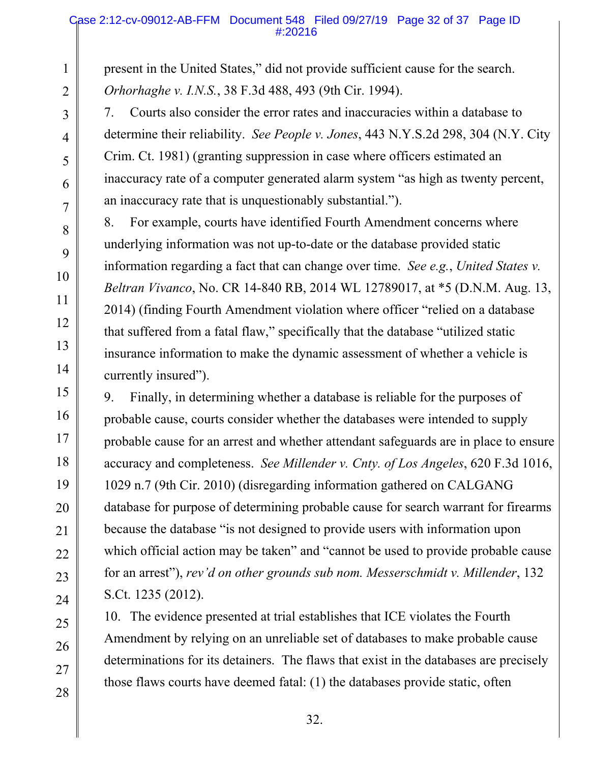#### Case 2:12-cv-09012-AB-FFM Document 548 Filed 09/27/19 Page 32 of 37 Page ID #:20216

present in the United States," did not provide sufficient cause for the search. *Orhorhaghe v. I.N.S.*, 38 F.3d 488, 493 (9th Cir. 1994).

7. Courts also consider the error rates and inaccuracies within a database to determine their reliability. *See People v. Jones*, 443 N.Y.S.2d 298, 304 (N.Y. City Crim. Ct. 1981) (granting suppression in case where officers estimated an inaccuracy rate of a computer generated alarm system "as high as twenty percent, an inaccuracy rate that is unquestionably substantial.").

8. For example, courts have identified Fourth Amendment concerns where underlying information was not up-to-date or the database provided static information regarding a fact that can change over time. *See e.g.*, *United States v. Beltran Vivanco*, No. CR 14-840 RB, 2014 WL 12789017, at \*5 (D.N.M. Aug. 13, 2014) (finding Fourth Amendment violation where officer "relied on a database that suffered from a fatal flaw," specifically that the database "utilized static insurance information to make the dynamic assessment of whether a vehicle is currently insured").

9. Finally, in determining whether a database is reliable for the purposes of probable cause, courts consider whether the databases were intended to supply probable cause for an arrest and whether attendant safeguards are in place to ensure accuracy and completeness. *See Millender v. Cnty. of Los Angeles*, 620 F.3d 1016, 1029 n.7 (9th Cir. 2010) (disregarding information gathered on CALGANG database for purpose of determining probable cause for search warrant for firearms because the database "is not designed to provide users with information upon which official action may be taken" and "cannot be used to provide probable cause for an arrest"), *rev'd on other grounds sub nom. Messerschmidt v. Millender*, 132 S.Ct. 1235 (2012).

10. The evidence presented at trial establishes that ICE violates the Fourth Amendment by relying on an unreliable set of databases to make probable cause determinations for its detainers. The flaws that exist in the databases are precisely those flaws courts have deemed fatal: (1) the databases provide static, often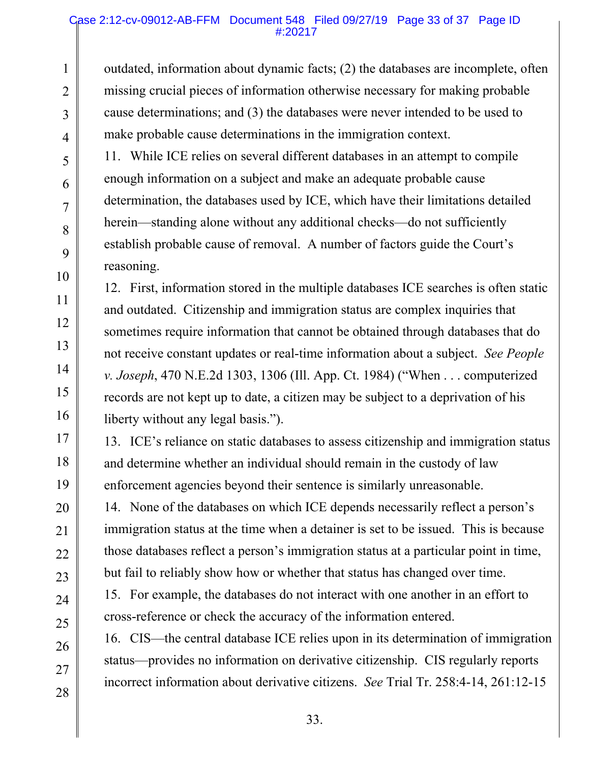outdated, information about dynamic facts; (2) the databases are incomplete, often missing crucial pieces of information otherwise necessary for making probable cause determinations; and (3) the databases were never intended to be used to make probable cause determinations in the immigration context.

11. While ICE relies on several different databases in an attempt to compile enough information on a subject and make an adequate probable cause determination, the databases used by ICE, which have their limitations detailed herein—standing alone without any additional checks—do not sufficiently establish probable cause of removal. A number of factors guide the Court's reasoning.

12. First, information stored in the multiple databases ICE searches is often static and outdated. Citizenship and immigration status are complex inquiries that sometimes require information that cannot be obtained through databases that do not receive constant updates or real-time information about a subject. *See People v. Joseph*, 470 N.E.2d 1303, 1306 (Ill. App. Ct. 1984) ("When . . . computerized records are not kept up to date, a citizen may be subject to a deprivation of his liberty without any legal basis.").

13. ICE's reliance on static databases to assess citizenship and immigration status and determine whether an individual should remain in the custody of law enforcement agencies beyond their sentence is similarly unreasonable.

14. None of the databases on which ICE depends necessarily reflect a person's immigration status at the time when a detainer is set to be issued. This is because those databases reflect a person's immigration status at a particular point in time, but fail to reliably show how or whether that status has changed over time.

15. For example, the databases do not interact with one another in an effort to cross-reference or check the accuracy of the information entered.

16. CIS—the central database ICE relies upon in its determination of immigration status—provides no information on derivative citizenship. CIS regularly reports incorrect information about derivative citizens. *See* Trial Tr. 258:4-14, 261:12-15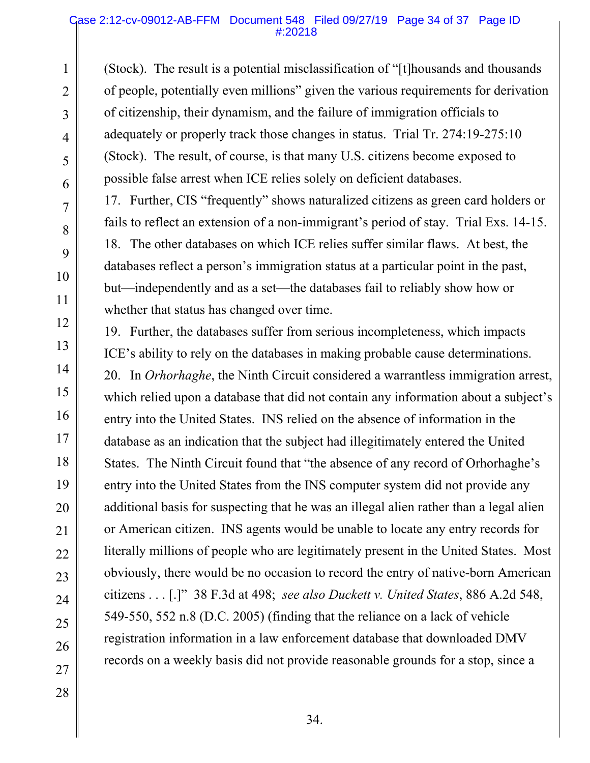(Stock). The result is a potential misclassification of "[t]housands and thousands of people, potentially even millions" given the various requirements for derivation of citizenship, their dynamism, and the failure of immigration officials to adequately or properly track those changes in status. Trial Tr. 274:19-275:10 (Stock). The result, of course, is that many U.S. citizens become exposed to possible false arrest when ICE relies solely on deficient databases.

17. Further, CIS "frequently" shows naturalized citizens as green card holders or fails to reflect an extension of a non-immigrant's period of stay. Trial Exs. 14-15. 18. The other databases on which ICE relies suffer similar flaws. At best, the databases reflect a person's immigration status at a particular point in the past, but—independently and as a set—the databases fail to reliably show how or whether that status has changed over time.

19. Further, the databases suffer from serious incompleteness, which impacts ICE's ability to rely on the databases in making probable cause determinations. 20. In *Orhorhaghe*, the Ninth Circuit considered a warrantless immigration arrest, which relied upon a database that did not contain any information about a subject's entry into the United States. INS relied on the absence of information in the database as an indication that the subject had illegitimately entered the United States. The Ninth Circuit found that "the absence of any record of Orhorhaghe's entry into the United States from the INS computer system did not provide any additional basis for suspecting that he was an illegal alien rather than a legal alien or American citizen. INS agents would be unable to locate any entry records for literally millions of people who are legitimately present in the United States. Most obviously, there would be no occasion to record the entry of native-born American citizens . . . [.]" 38 F.3d at 498; *see also Duckett v. United States*, 886 A.2d 548, 549-550, 552 n.8 (D.C. 2005) (finding that the reliance on a lack of vehicle registration information in a law enforcement database that downloaded DMV records on a weekly basis did not provide reasonable grounds for a stop, since a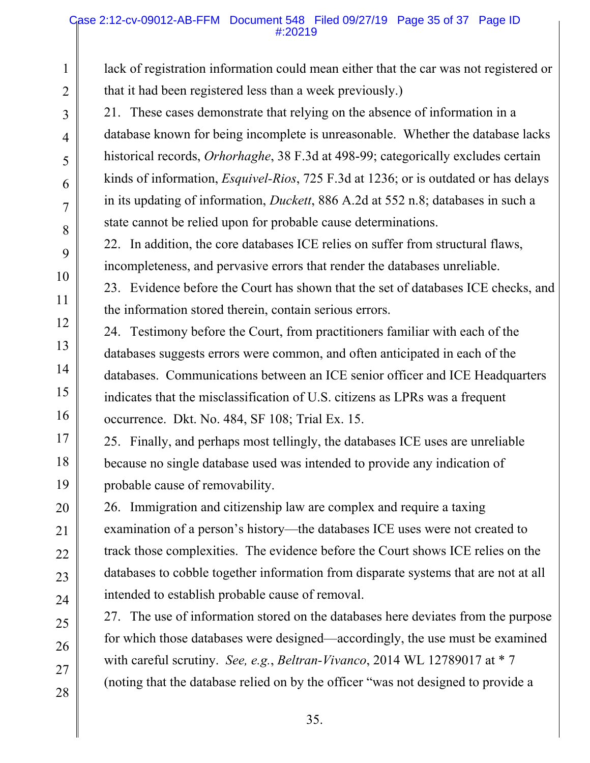#### Case 2:12-cv-09012-AB-FFM Document 548 Filed 09/27/19 Page 35 of 37 Page ID #:20219

lack of registration information could mean either that the car was not registered or that it had been registered less than a week previously.)

21. These cases demonstrate that relying on the absence of information in a database known for being incomplete is unreasonable. Whether the database lacks historical records, *Orhorhaghe*, 38 F.3d at 498-99; categorically excludes certain kinds of information, *Esquivel-Rios*, 725 F.3d at 1236; or is outdated or has delays in its updating of information, *Duckett*, 886 A.2d at 552 n.8; databases in such a state cannot be relied upon for probable cause determinations.

22. In addition, the core databases ICE relies on suffer from structural flaws, incompleteness, and pervasive errors that render the databases unreliable.

23. Evidence before the Court has shown that the set of databases ICE checks, and the information stored therein, contain serious errors.

24. Testimony before the Court, from practitioners familiar with each of the databases suggests errors were common, and often anticipated in each of the databases. Communications between an ICE senior officer and ICE Headquarters indicates that the misclassification of U.S. citizens as LPRs was a frequent occurrence. Dkt. No. 484, SF 108; Trial Ex. 15.

25. Finally, and perhaps most tellingly, the databases ICE uses are unreliable because no single database used was intended to provide any indication of probable cause of removability.

26. Immigration and citizenship law are complex and require a taxing examination of a person's history—the databases ICE uses were not created to track those complexities. The evidence before the Court shows ICE relies on the databases to cobble together information from disparate systems that are not at all intended to establish probable cause of removal.

27. The use of information stored on the databases here deviates from the purpose for which those databases were designed—accordingly, the use must be examined with careful scrutiny. *See, e.g.*, *Beltran-Vivanco*, 2014 WL 12789017 at \* 7 (noting that the database relied on by the officer "was not designed to provide a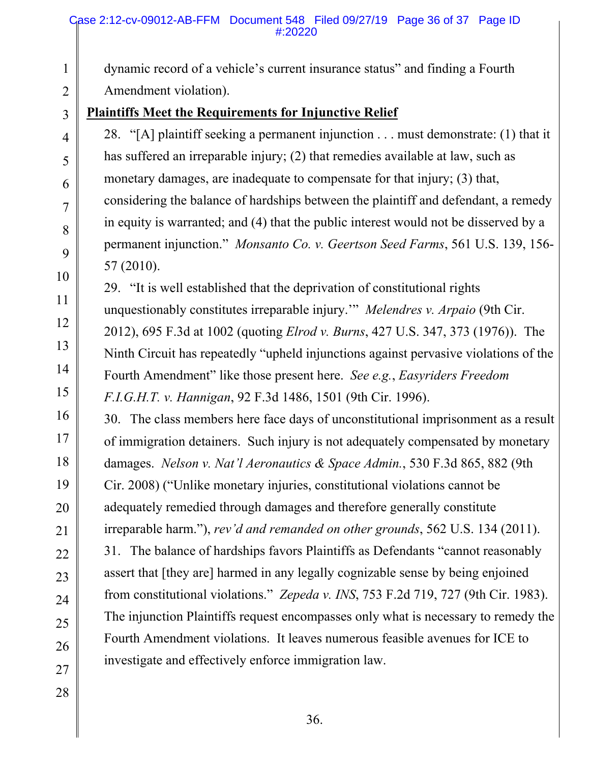dynamic record of a vehicle's current insurance status" and finding a Fourth Amendment violation).

## **Plaintiffs Meet the Requirements for Injunctive Relief**

28. "[A] plaintiff seeking a permanent injunction . . . must demonstrate: (1) that it has suffered an irreparable injury; (2) that remedies available at law, such as monetary damages, are inadequate to compensate for that injury; (3) that, considering the balance of hardships between the plaintiff and defendant, a remedy in equity is warranted; and (4) that the public interest would not be disserved by a permanent injunction." *Monsanto Co. v. Geertson Seed Farms*, 561 U.S. 139, 156- 57 (2010).

29. "It is well established that the deprivation of constitutional rights unquestionably constitutes irreparable injury.'" *Melendres v. Arpaio* (9th Cir. 2012), 695 F.3d at 1002 (quoting *Elrod v. Burns*, 427 U.S. 347, 373 (1976)). The Ninth Circuit has repeatedly "upheld injunctions against pervasive violations of the Fourth Amendment" like those present here. *See e.g.*, *Easyriders Freedom F.I.G.H.T. v. Hannigan*, 92 F.3d 1486, 1501 (9th Cir. 1996).

30. The class members here face days of unconstitutional imprisonment as a result of immigration detainers. Such injury is not adequately compensated by monetary damages. *Nelson v. Nat'l Aeronautics & Space Admin.*, 530 F.3d 865, 882 (9th Cir. 2008) ("Unlike monetary injuries, constitutional violations cannot be adequately remedied through damages and therefore generally constitute irreparable harm."), *rev'd and remanded on other grounds*, 562 U.S. 134 (2011). 31. The balance of hardships favors Plaintiffs as Defendants "cannot reasonably assert that [they are] harmed in any legally cognizable sense by being enjoined from constitutional violations." *Zepeda v. INS*, 753 F.2d 719, 727 (9th Cir. 1983). The injunction Plaintiffs request encompasses only what is necessary to remedy the Fourth Amendment violations. It leaves numerous feasible avenues for ICE to investigate and effectively enforce immigration law.

27 28

1

2

3

4

5

6

7

8

9

10

11

12

13

14

15

16

17

18

19

20

21

22

23

24

25